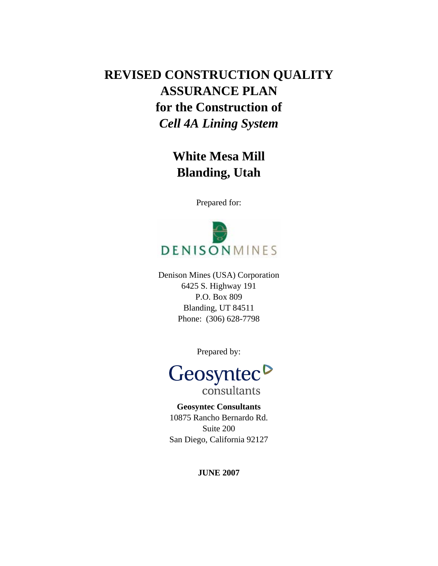# **REVISED CONSTRUCTION QUALITY ASSURANCE PLAN for the Construction of**  *Cell 4A Lining System*

**White Mesa Mill Blanding, Utah** 

Prepared for:



Denison Mines (USA) Corporation 6425 S. Highway 191 P.O. Box 809 Blanding, UT 84511 Phone: (306) 628-7798

Prepared by:



consultants

**Geosyntec Consultants**  10875 Rancho Bernardo Rd. Suite 200 San Diego, California 92127

**JUNE 2007**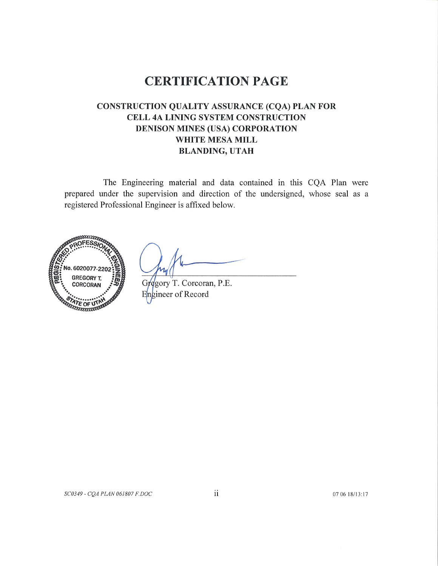# **CERTIFICATION PAGE**

# **CONSTRUCTION QUALITY ASSURANCE (CQA) PLAN FOR** CELL 4A LINING SYSTEM CONSTRUCTION DENISON MINES (USA) CORPORATION WHITE MESA MILL **BLANDING, UTAH**

The Engineering material and data contained in this CQA Plan were prepared under the supervision and direction of the undersigned, whose seal as a registered Professional Engineer is affixed below.



Gregory T. Corcoran, P.E. Engineer of Record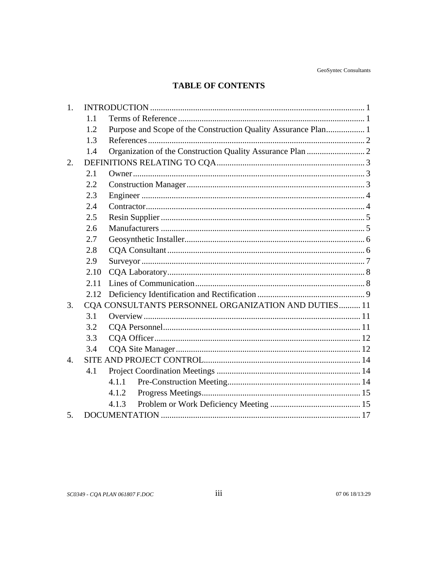# **TABLE OF CONTENTS**

| 1.               |      |                                                                |  |  |  |
|------------------|------|----------------------------------------------------------------|--|--|--|
|                  | 1.1  |                                                                |  |  |  |
|                  | 1.2  | Purpose and Scope of the Construction Quality Assurance Plan 1 |  |  |  |
|                  | 1.3  |                                                                |  |  |  |
|                  | 1.4  |                                                                |  |  |  |
| 2.               |      |                                                                |  |  |  |
|                  | 2.1  |                                                                |  |  |  |
|                  | 2.2  |                                                                |  |  |  |
|                  | 2.3  |                                                                |  |  |  |
|                  | 2.4  |                                                                |  |  |  |
|                  | 2.5  |                                                                |  |  |  |
|                  | 2.6  |                                                                |  |  |  |
|                  | 2.7  |                                                                |  |  |  |
|                  | 2.8  |                                                                |  |  |  |
|                  | 2.9  |                                                                |  |  |  |
|                  | 2.10 |                                                                |  |  |  |
|                  | 2.11 |                                                                |  |  |  |
|                  | 2.12 |                                                                |  |  |  |
| 3.               |      | CQA CONSULTANTS PERSONNEL ORGANIZATION AND DUTIES 11           |  |  |  |
|                  | 3.1  |                                                                |  |  |  |
|                  | 3.2  |                                                                |  |  |  |
|                  | 3.3  |                                                                |  |  |  |
|                  | 3.4  |                                                                |  |  |  |
| $\overline{4}$ . |      |                                                                |  |  |  |
|                  | 4.1  |                                                                |  |  |  |
|                  |      | 4.1.1                                                          |  |  |  |
|                  |      | 4.1.2                                                          |  |  |  |
|                  |      | 4.1.3                                                          |  |  |  |
| 5.               |      |                                                                |  |  |  |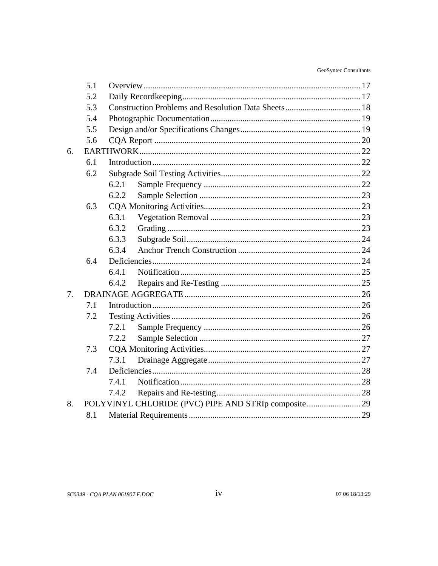|    | 5.1 |                                                      |  |  |  |
|----|-----|------------------------------------------------------|--|--|--|
|    | 5.2 |                                                      |  |  |  |
|    | 5.3 |                                                      |  |  |  |
|    | 5.4 |                                                      |  |  |  |
|    | 5.5 |                                                      |  |  |  |
|    | 5.6 |                                                      |  |  |  |
| 6. |     |                                                      |  |  |  |
|    | 6.1 |                                                      |  |  |  |
|    | 6.2 |                                                      |  |  |  |
|    |     | 6.2.1                                                |  |  |  |
|    |     | 6.2.2                                                |  |  |  |
|    | 6.3 |                                                      |  |  |  |
|    |     | 6.3.1                                                |  |  |  |
|    |     | 6.3.2                                                |  |  |  |
|    |     | 6.3.3                                                |  |  |  |
|    |     | 6.3.4                                                |  |  |  |
|    | 6.4 |                                                      |  |  |  |
|    |     | 6.4.1                                                |  |  |  |
|    |     | 6.4.2                                                |  |  |  |
| 7. |     |                                                      |  |  |  |
|    | 7.1 |                                                      |  |  |  |
|    | 7.2 |                                                      |  |  |  |
|    |     | 7.2.1                                                |  |  |  |
|    |     | 7.2.2                                                |  |  |  |
|    | 7.3 |                                                      |  |  |  |
|    |     | 7.3.1                                                |  |  |  |
|    | 7.4 |                                                      |  |  |  |
|    |     | 7.4.1                                                |  |  |  |
|    |     | 7.4.2                                                |  |  |  |
| 8. |     | POLYVINYL CHLORIDE (PVC) PIPE AND STRIp composite 29 |  |  |  |
|    | 8.1 |                                                      |  |  |  |
|    |     |                                                      |  |  |  |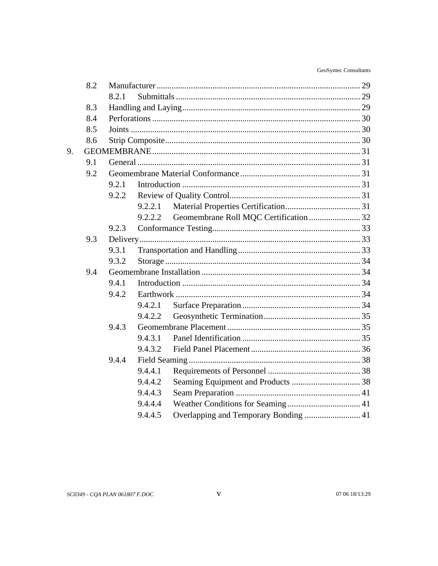|    | 8.2 |       |         |  |  |
|----|-----|-------|---------|--|--|
|    |     | 8.2.1 |         |  |  |
|    | 8.3 |       |         |  |  |
|    | 8.4 |       |         |  |  |
|    | 8.5 |       |         |  |  |
|    | 8.6 |       |         |  |  |
| 9. |     |       |         |  |  |
|    | 9.1 |       |         |  |  |
|    | 9.2 |       |         |  |  |
|    |     | 9.2.1 |         |  |  |
|    |     | 9.2.2 |         |  |  |
|    |     |       | 9.2.2.1 |  |  |
|    |     |       | 9.2.2.2 |  |  |
|    |     | 9.2.3 |         |  |  |
|    | 9.3 |       |         |  |  |
|    |     | 9.3.1 |         |  |  |
|    |     | 9.3.2 |         |  |  |
|    | 9.4 |       |         |  |  |
|    |     | 9.4.1 |         |  |  |
|    |     | 9.4.2 |         |  |  |
|    |     |       | 9.4.2.1 |  |  |
|    |     |       | 9.4.2.2 |  |  |
|    |     | 9.4.3 |         |  |  |
|    |     |       | 9.4.3.1 |  |  |
|    |     |       | 9.4.3.2 |  |  |
|    |     | 9.4.4 |         |  |  |
|    |     |       | 9.4.4.1 |  |  |
|    |     |       | 9.4.4.2 |  |  |
|    |     |       | 9.4.4.3 |  |  |
|    |     |       | 9.4.4.4 |  |  |
|    |     |       | 9.4.4.5 |  |  |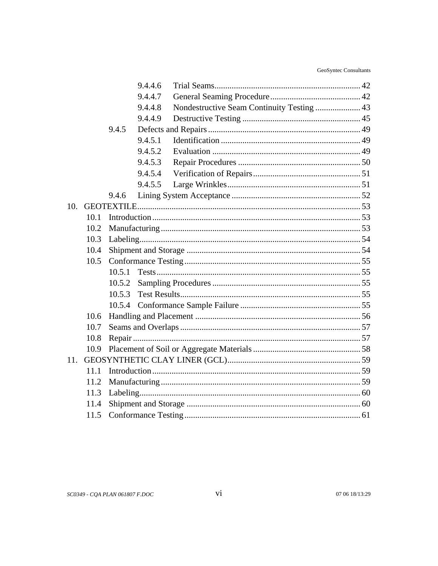GeoSyntec Consultants

|     |      | 9.4.4.6                                               |  |  |
|-----|------|-------------------------------------------------------|--|--|
|     |      | 9.4.4.7                                               |  |  |
|     |      | Nondestructive Seam Continuity Testing  43<br>9.4.4.8 |  |  |
|     |      | 9.4.4.9                                               |  |  |
|     |      | 9.4.5                                                 |  |  |
|     |      | 9.4.5.1                                               |  |  |
|     |      | 9.4.5.2                                               |  |  |
|     |      | 9.4.5.3                                               |  |  |
|     |      | 9.4.5.4                                               |  |  |
|     |      | 9.4.5.5                                               |  |  |
|     |      | 9.4.6                                                 |  |  |
| 10. |      |                                                       |  |  |
|     | 10.1 |                                                       |  |  |
|     | 10.2 |                                                       |  |  |
|     | 10.3 |                                                       |  |  |
|     | 10.4 |                                                       |  |  |
|     | 10.5 |                                                       |  |  |
|     |      | 10.5.1                                                |  |  |
|     |      | 10.5.2                                                |  |  |
|     |      | 10.5.3                                                |  |  |
|     |      | 10.5.4                                                |  |  |
|     | 10.6 |                                                       |  |  |
|     | 10.7 |                                                       |  |  |
|     | 10.8 |                                                       |  |  |
|     | 10.9 |                                                       |  |  |
| 11. |      |                                                       |  |  |
|     | 11.1 |                                                       |  |  |
|     | 11.2 |                                                       |  |  |
|     | 11.3 |                                                       |  |  |
|     | 11.4 |                                                       |  |  |
|     | 11.5 |                                                       |  |  |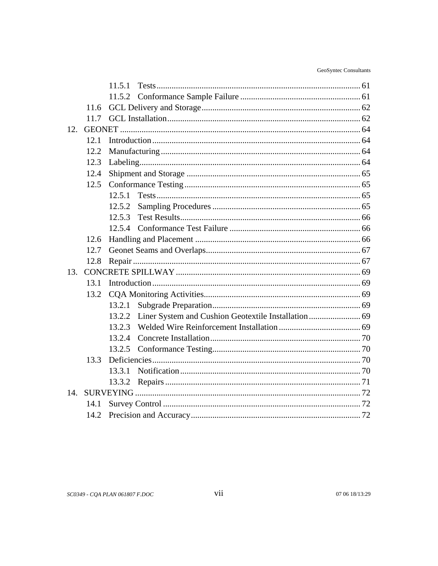| GeoSyntec Consultants |
|-----------------------|
|                       |

|     |      | 11.5.1                                                         |  |
|-----|------|----------------------------------------------------------------|--|
|     |      |                                                                |  |
|     | 11.6 |                                                                |  |
|     | 11.7 |                                                                |  |
| 12. |      |                                                                |  |
|     | 12.1 |                                                                |  |
|     | 12.2 |                                                                |  |
|     | 12.3 |                                                                |  |
|     | 12.4 |                                                                |  |
|     | 12.5 |                                                                |  |
|     |      | 12.5.1                                                         |  |
|     |      | 12.5.2                                                         |  |
|     |      | 12.5.3                                                         |  |
|     |      | 12.5.4                                                         |  |
|     | 12.6 |                                                                |  |
|     | 12.7 |                                                                |  |
|     | 12.8 |                                                                |  |
| 13. |      |                                                                |  |
|     | 13.1 |                                                                |  |
|     | 13.2 |                                                                |  |
|     |      | 13.2.1                                                         |  |
|     |      | Liner System and Cushion Geotextile Installation  69<br>13.2.2 |  |
|     |      | 13.2.3                                                         |  |
|     |      | 13.2.4                                                         |  |
|     |      | 13.2.5                                                         |  |
|     | 13.3 |                                                                |  |
|     |      | 13.3.1                                                         |  |
|     |      | 13.3.2                                                         |  |
| 14. |      |                                                                |  |
|     | 14.1 |                                                                |  |
|     | 14.2 |                                                                |  |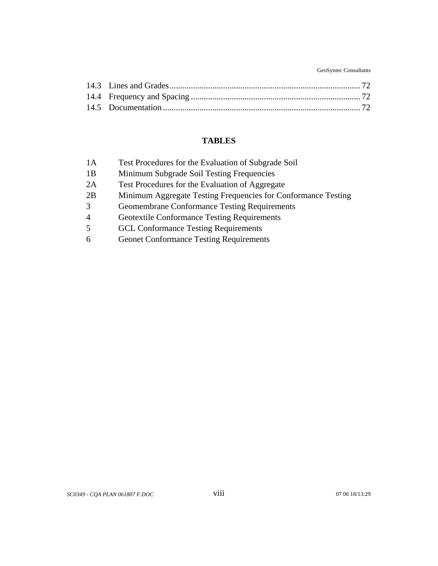GeoSyntec Consultants

# **TABLES**

| 1A             | Test Procedures for the Evaluation of Subgrade Soil           |
|----------------|---------------------------------------------------------------|
| 1B             | Minimum Subgrade Soil Testing Frequencies                     |
| 2A             | Test Procedures for the Evaluation of Aggregate               |
| 2B             | Minimum Aggregate Testing Frequencies for Conformance Testing |
| 3              | <b>Geomembrane Conformance Testing Requirements</b>           |
| $\overline{4}$ | <b>Geotextile Conformance Testing Requirements</b>            |
| 5              | <b>GCL Conformance Testing Requirements</b>                   |
| 6              | <b>Geonet Conformance Testing Requirements</b>                |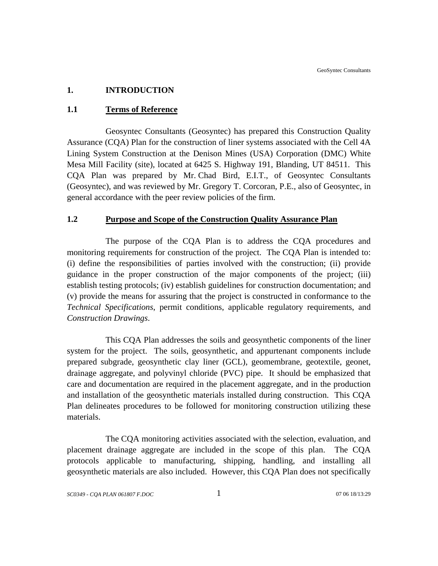## <span id="page-8-0"></span>**1. INTRODUCTION**

## **1.1 Terms of Reference**

Geosyntec Consultants (Geosyntec) has prepared this Construction Quality Assurance (CQA) Plan for the construction of liner systems associated with the Cell 4A Lining System Construction at the Denison Mines (USA) Corporation (DMC) White Mesa Mill Facility (site), located at 6425 S. Highway 191, Blanding, UT 84511. This CQA Plan was prepared by Mr. Chad Bird, E.I.T., of Geosyntec Consultants (Geosyntec), and was reviewed by Mr. Gregory T. Corcoran, P.E., also of Geosyntec, in general accordance with the peer review policies of the firm.

#### **1.2 Purpose and Scope of the Construction Quality Assurance Plan**

The purpose of the CQA Plan is to address the CQA procedures and monitoring requirements for construction of the project. The CQA Plan is intended to: (i) define the responsibilities of parties involved with the construction; (ii) provide guidance in the proper construction of the major components of the project; (iii) establish testing protocols; (iv) establish guidelines for construction documentation; and (v) provide the means for assuring that the project is constructed in conformance to the *Technical Specifications*, permit conditions, applicable regulatory requirements, and *Construction Drawings*.

This CQA Plan addresses the soils and geosynthetic components of the liner system for the project. The soils, geosynthetic, and appurtenant components include prepared subgrade, geosynthetic clay liner (GCL), geomembrane, geotextile, geonet, drainage aggregate, and polyvinyl chloride (PVC) pipe. It should be emphasized that care and documentation are required in the placement aggregate, and in the production and installation of the geosynthetic materials installed during construction. This CQA Plan delineates procedures to be followed for monitoring construction utilizing these materials.

The CQA monitoring activities associated with the selection, evaluation, and placement drainage aggregate are included in the scope of this plan. The CQA protocols applicable to manufacturing, shipping, handling, and installing all geosynthetic materials are also included. However, this CQA Plan does not specifically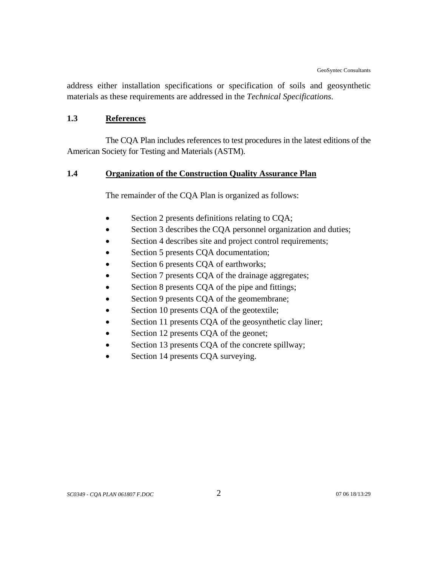<span id="page-9-0"></span>address either installation specifications or specification of soils and geosynthetic materials as these requirements are addressed in the *Technical Specifications*.

#### **1.3 References**

The CQA Plan includes references to test procedures in the latest editions of the American Society for Testing and Materials (ASTM).

## **1.4 Organization of the Construction Quality Assurance Plan**

The remainder of the CQA Plan is organized as follows:

- Section 2 presents definitions relating to CQA;
- Section 3 describes the CQA personnel organization and duties;
- Section 4 describes site and project control requirements;
- Section 5 presents CQA documentation;
- Section 6 presents CQA of earthworks;
- Section 7 presents CQA of the drainage aggregates;
- Section 8 presents CQA of the pipe and fittings;
- Section 9 presents CQA of the geomembrane;
- Section 10 presents CQA of the geotextile;
- Section 11 presents CQA of the geosynthetic clay liner;
- Section 12 presents CQA of the geonet;
- Section 13 presents CQA of the concrete spillway;
- Section 14 presents CQA surveying.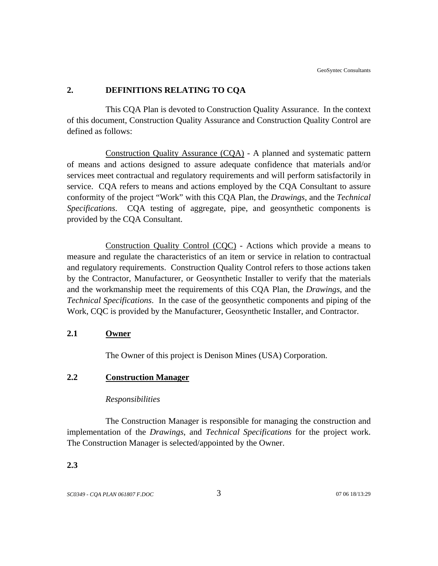#### <span id="page-10-0"></span>**2. DEFINITIONS RELATING TO CQA**

This CQA Plan is devoted to Construction Quality Assurance. In the context of this document, Construction Quality Assurance and Construction Quality Control are defined as follows:

Construction Quality Assurance (CQA) - A planned and systematic pattern of means and actions designed to assure adequate confidence that materials and/or services meet contractual and regulatory requirements and will perform satisfactorily in service. CQA refers to means and actions employed by the CQA Consultant to assure conformity of the project "Work" with this CQA Plan, the *Drawings*, and the *Technical Specifications*. CQA testing of aggregate, pipe, and geosynthetic components is provided by the CQA Consultant.

Construction Quality Control (CQC) - Actions which provide a means to measure and regulate the characteristics of an item or service in relation to contractual and regulatory requirements. Construction Quality Control refers to those actions taken by the Contractor, Manufacturer, or Geosynthetic Installer to verify that the materials and the workmanship meet the requirements of this CQA Plan, the *Drawings*, and the *Technical Specifications*. In the case of the geosynthetic components and piping of the Work, CQC is provided by the Manufacturer, Geosynthetic Installer, and Contractor.

#### **2.1 Owner**

The Owner of this project is Denison Mines (USA) Corporation.

## **2.2 Construction Manager**

#### *Responsibilities*

The Construction Manager is responsible for managing the construction and implementation of the *Drawings*, and *Technical Specifications* for the project work. The Construction Manager is selected/appointed by the Owner.

#### **2.3**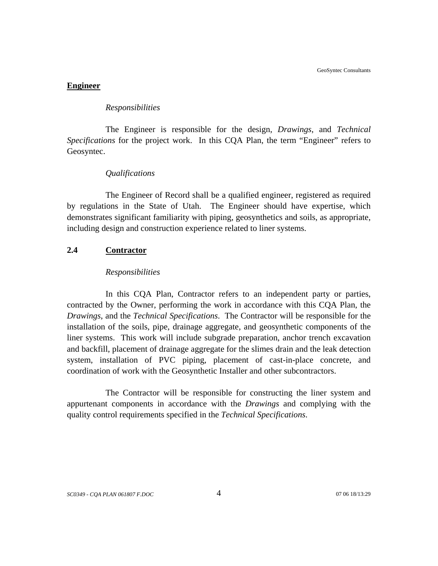#### <span id="page-11-0"></span>**Engineer**

#### *Responsibilities*

The Engineer is responsible for the design, *Drawings*, and *Technical Specifications* for the project work. In this CQA Plan, the term "Engineer" refers to Geosyntec.

#### *Qualifications*

The Engineer of Record shall be a qualified engineer, registered as required by regulations in the State of Utah. The Engineer should have expertise, which demonstrates significant familiarity with piping, geosynthetics and soils, as appropriate, including design and construction experience related to liner systems.

#### **2.4 Contractor**

#### *Responsibilities*

In this CQA Plan, Contractor refers to an independent party or parties, contracted by the Owner, performing the work in accordance with this CQA Plan, the *Drawings*, and the *Technical Specifications*. The Contractor will be responsible for the installation of the soils, pipe, drainage aggregate, and geosynthetic components of the liner systems. This work will include subgrade preparation, anchor trench excavation and backfill, placement of drainage aggregate for the slimes drain and the leak detection system, installation of PVC piping, placement of cast-in-place concrete, and coordination of work with the Geosynthetic Installer and other subcontractors.

The Contractor will be responsible for constructing the liner system and appurtenant components in accordance with the *Drawings* and complying with the quality control requirements specified in the *Technical Specifications*.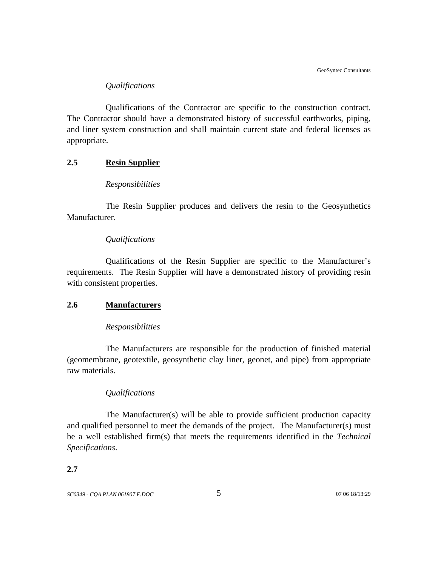#### *Qualifications*

<span id="page-12-0"></span>Qualifications of the Contractor are specific to the construction contract. The Contractor should have a demonstrated history of successful earthworks, piping, and liner system construction and shall maintain current state and federal licenses as appropriate.

## **2.5 Resin Supplier**

#### *Responsibilities*

The Resin Supplier produces and delivers the resin to the Geosynthetics Manufacturer.

#### *Qualifications*

Qualifications of the Resin Supplier are specific to the Manufacturer's requirements. The Resin Supplier will have a demonstrated history of providing resin with consistent properties.

#### **2.6 Manufacturers**

#### *Responsibilities*

The Manufacturers are responsible for the production of finished material (geomembrane, geotextile, geosynthetic clay liner, geonet, and pipe) from appropriate raw materials.

#### *Qualifications*

The Manufacturer(s) will be able to provide sufficient production capacity and qualified personnel to meet the demands of the project. The Manufacturer(s) must be a well established firm(s) that meets the requirements identified in the *Technical Specifications*.

#### **2.7**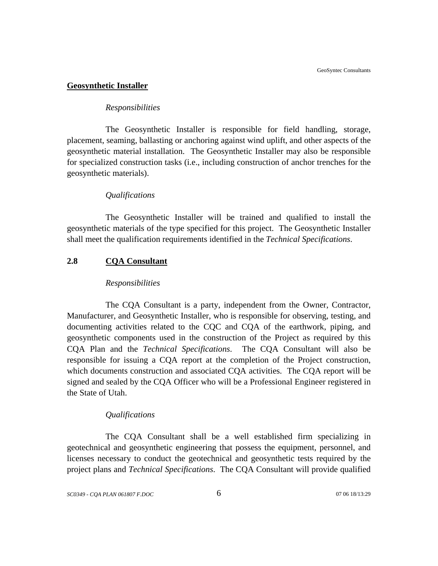#### <span id="page-13-0"></span>**Geosynthetic Installer**

#### *Responsibilities*

The Geosynthetic Installer is responsible for field handling, storage, placement, seaming, ballasting or anchoring against wind uplift, and other aspects of the geosynthetic material installation. The Geosynthetic Installer may also be responsible for specialized construction tasks (i.e., including construction of anchor trenches for the geosynthetic materials).

#### *Qualifications*

The Geosynthetic Installer will be trained and qualified to install the geosynthetic materials of the type specified for this project. The Geosynthetic Installer shall meet the qualification requirements identified in the *Technical Specifications*.

## **2.8 CQA Consultant**

#### *Responsibilities*

The CQA Consultant is a party, independent from the Owner, Contractor, Manufacturer, and Geosynthetic Installer, who is responsible for observing, testing, and documenting activities related to the CQC and CQA of the earthwork, piping, and geosynthetic components used in the construction of the Project as required by this CQA Plan and the *Technical Specifications*. The CQA Consultant will also be responsible for issuing a CQA report at the completion of the Project construction, which documents construction and associated CQA activities. The CQA report will be signed and sealed by the CQA Officer who will be a Professional Engineer registered in the State of Utah.

#### *Qualifications*

The CQA Consultant shall be a well established firm specializing in geotechnical and geosynthetic engineering that possess the equipment, personnel, and licenses necessary to conduct the geotechnical and geosynthetic tests required by the project plans and *Technical Specifications*. The CQA Consultant will provide qualified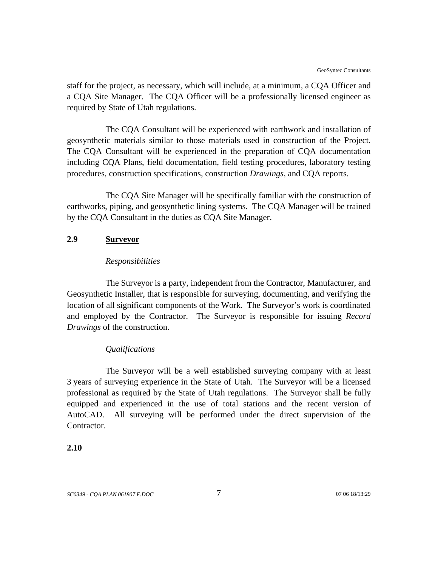<span id="page-14-0"></span>staff for the project, as necessary, which will include, at a minimum, a CQA Officer and a CQA Site Manager. The CQA Officer will be a professionally licensed engineer as required by State of Utah regulations.

The CQA Consultant will be experienced with earthwork and installation of geosynthetic materials similar to those materials used in construction of the Project. The CQA Consultant will be experienced in the preparation of CQA documentation including CQA Plans, field documentation, field testing procedures, laboratory testing procedures, construction specifications, construction *Drawings*, and CQA reports.

The CQA Site Manager will be specifically familiar with the construction of earthworks, piping, and geosynthetic lining systems. The CQA Manager will be trained by the CQA Consultant in the duties as CQA Site Manager.

#### **2.9 Surveyor**

#### *Responsibilities*

The Surveyor is a party, independent from the Contractor, Manufacturer, and Geosynthetic Installer, that is responsible for surveying, documenting, and verifying the location of all significant components of the Work. The Surveyor's work is coordinated and employed by the Contractor. The Surveyor is responsible for issuing *Record Drawings* of the construction.

#### *Qualifications*

The Surveyor will be a well established surveying company with at least 3 years of surveying experience in the State of Utah. The Surveyor will be a licensed professional as required by the State of Utah regulations. The Surveyor shall be fully equipped and experienced in the use of total stations and the recent version of AutoCAD. All surveying will be performed under the direct supervision of the Contractor.

## **2.10**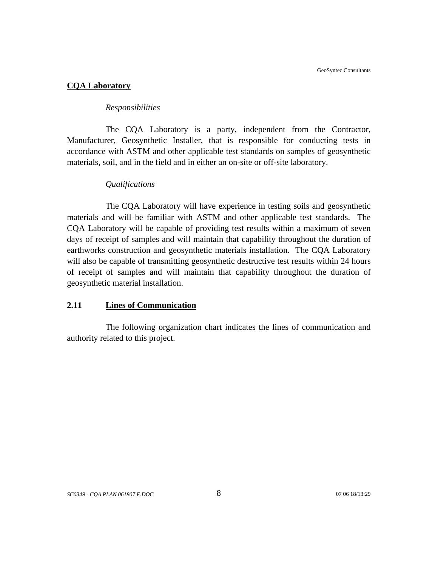#### <span id="page-15-0"></span>**CQA Laboratory**

#### *Responsibilities*

The CQA Laboratory is a party, independent from the Contractor, Manufacturer, Geosynthetic Installer, that is responsible for conducting tests in accordance with ASTM and other applicable test standards on samples of geosynthetic materials, soil, and in the field and in either an on-site or off-site laboratory.

#### *Qualifications*

The CQA Laboratory will have experience in testing soils and geosynthetic materials and will be familiar with ASTM and other applicable test standards. The CQA Laboratory will be capable of providing test results within a maximum of seven days of receipt of samples and will maintain that capability throughout the duration of earthworks construction and geosynthetic materials installation. The CQA Laboratory will also be capable of transmitting geosynthetic destructive test results within 24 hours of receipt of samples and will maintain that capability throughout the duration of geosynthetic material installation.

#### **2.11 Lines of Communication**

The following organization chart indicates the lines of communication and authority related to this project.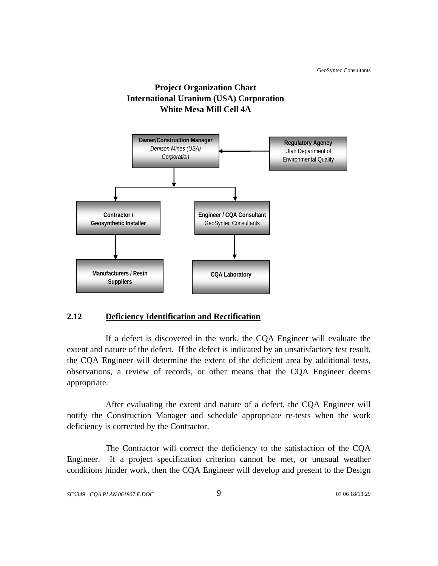

<span id="page-16-0"></span>

## **2.12 Deficiency Identification and Rectification**

If a defect is discovered in the work, the CQA Engineer will evaluate the extent and nature of the defect. If the defect is indicated by an unsatisfactory test result, the CQA Engineer will determine the extent of the deficient area by additional tests, observations, a review of records, or other means that the CQA Engineer deems appropriate.

After evaluating the extent and nature of a defect, the CQA Engineer will notify the Construction Manager and schedule appropriate re-tests when the work deficiency is corrected by the Contractor.

The Contractor will correct the deficiency to the satisfaction of the CQA Engineer. If a project specification criterion cannot be met, or unusual weather conditions hinder work, then the CQA Engineer will develop and present to the Design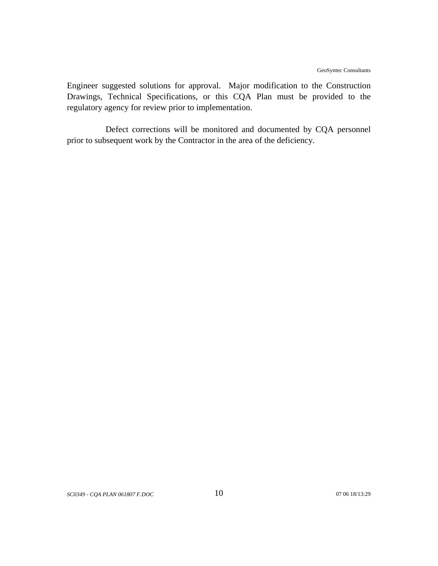Engineer suggested solutions for approval. Major modification to the Construction Drawings, Technical Specifications, or this CQA Plan must be provided to the regulatory agency for review prior to implementation.

Defect corrections will be monitored and documented by CQA personnel prior to subsequent work by the Contractor in the area of the deficiency.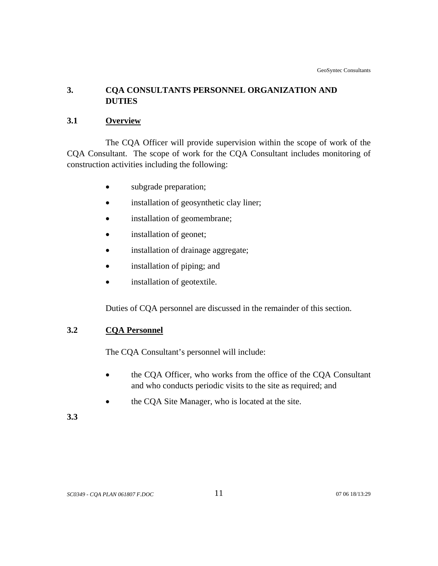## <span id="page-18-0"></span>**3. CQA CONSULTANTS PERSONNEL ORGANIZATION AND DUTIES**

## **3.1 Overview**

The CQA Officer will provide supervision within the scope of work of the CQA Consultant. The scope of work for the CQA Consultant includes monitoring of construction activities including the following:

- subgrade preparation;
- installation of geosynthetic clay liner;
- installation of geomembrane;
- installation of geonet;
- installation of drainage aggregate;
- installation of piping; and
- installation of geotextile.

Duties of CQA personnel are discussed in the remainder of this section.

## **3.2 CQA Personnel**

The CQA Consultant's personnel will include:

- the CQA Officer, who works from the office of the CQA Consultant and who conducts periodic visits to the site as required; and
- the CQA Site Manager, who is located at the site.

## **3.3**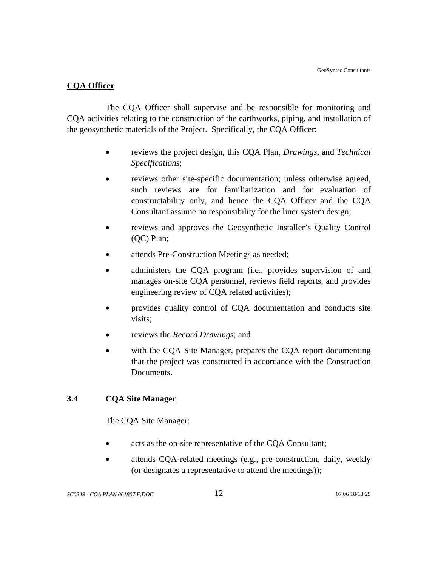## <span id="page-19-0"></span>**CQA Officer**

The CQA Officer shall supervise and be responsible for monitoring and CQA activities relating to the construction of the earthworks, piping, and installation of the geosynthetic materials of the Project. Specifically, the CQA Officer:

- reviews the project design, this CQA Plan, *Drawings*, and *Technical Specifications*;
- reviews other site-specific documentation; unless otherwise agreed, such reviews are for familiarization and for evaluation of constructability only, and hence the CQA Officer and the CQA Consultant assume no responsibility for the liner system design;
- reviews and approves the Geosynthetic Installer's Quality Control (QC) Plan;
- attends Pre-Construction Meetings as needed;
- administers the CQA program (i.e., provides supervision of and manages on-site CQA personnel, reviews field reports, and provides engineering review of CQA related activities);
- provides quality control of CQA documentation and conducts site visits;
- reviews the *Record Drawings*; and
- with the COA Site Manager, prepares the COA report documenting that the project was constructed in accordance with the Construction Documents.

## **3.4 CQA Site Manager**

The CQA Site Manager:

- acts as the on-site representative of the CQA Consultant;
- attends CQA-related meetings (e.g., pre-construction, daily, weekly (or designates a representative to attend the meetings));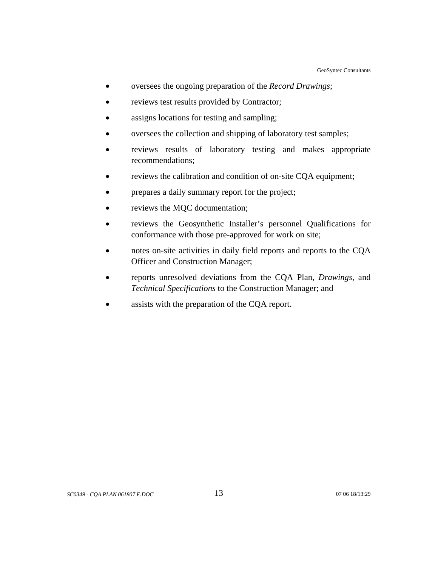- oversees the ongoing preparation of the *Record Drawings*;
- reviews test results provided by Contractor;
- assigns locations for testing and sampling;
- oversees the collection and shipping of laboratory test samples;
- reviews results of laboratory testing and makes appropriate recommendations;
- reviews the calibration and condition of on-site CQA equipment;
- prepares a daily summary report for the project;
- reviews the MQC documentation;
- reviews the Geosynthetic Installer's personnel Qualifications for conformance with those pre-approved for work on site;
- notes on-site activities in daily field reports and reports to the CQA Officer and Construction Manager;
- reports unresolved deviations from the CQA Plan, *Drawings*, and *Technical Specifications* to the Construction Manager; and
- assists with the preparation of the CQA report.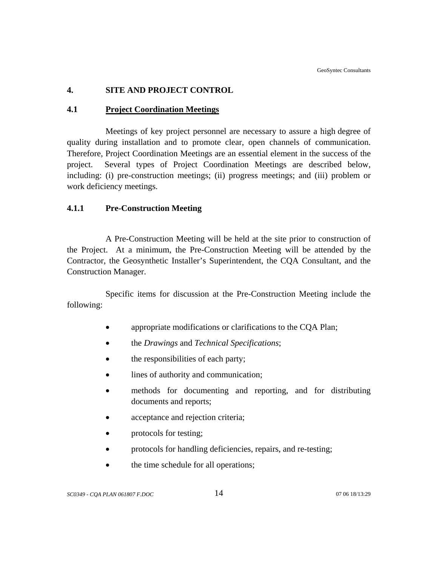## <span id="page-21-0"></span>**4. SITE AND PROJECT CONTROL**

### **4.1 Project Coordination Meetings**

Meetings of key project personnel are necessary to assure a high degree of quality during installation and to promote clear, open channels of communication. Therefore, Project Coordination Meetings are an essential element in the success of the project. Several types of Project Coordination Meetings are described below, including: (i) pre-construction meetings; (ii) progress meetings; and (iii) problem or work deficiency meetings.

## **4.1.1 Pre-Construction Meeting**

A Pre-Construction Meeting will be held at the site prior to construction of the Project. At a minimum, the Pre-Construction Meeting will be attended by the Contractor, the Geosynthetic Installer's Superintendent, the CQA Consultant, and the Construction Manager.

Specific items for discussion at the Pre-Construction Meeting include the following:

- appropriate modifications or clarifications to the CQA Plan;
- the *Drawings* and *Technical Specifications*;
- the responsibilities of each party;
- lines of authority and communication;
- methods for documenting and reporting, and for distributing documents and reports;
- acceptance and rejection criteria;
- protocols for testing;
- protocols for handling deficiencies, repairs, and re-testing;
- the time schedule for all operations;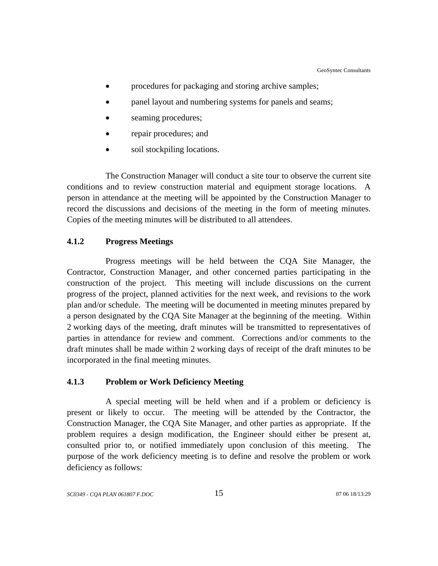- <span id="page-22-0"></span>procedures for packaging and storing archive samples;
- panel layout and numbering systems for panels and seams;
- seaming procedures;
- repair procedures; and
- soil stockpiling locations.

The Construction Manager will conduct a site tour to observe the current site conditions and to review construction material and equipment storage locations. A person in attendance at the meeting will be appointed by the Construction Manager to record the discussions and decisions of the meeting in the form of meeting minutes. Copies of the meeting minutes will be distributed to all attendees.

#### **4.1.2 Progress Meetings**

Progress meetings will be held between the CQA Site Manager, the Contractor, Construction Manager, and other concerned parties participating in the construction of the project. This meeting will include discussions on the current progress of the project, planned activities for the next week, and revisions to the work plan and/or schedule. The meeting will be documented in meeting minutes prepared by a person designated by the CQA Site Manager at the beginning of the meeting. Within 2 working days of the meeting, draft minutes will be transmitted to representatives of parties in attendance for review and comment. Corrections and/or comments to the draft minutes shall be made within 2 working days of receipt of the draft minutes to be incorporated in the final meeting minutes.

#### **4.1.3 Problem or Work Deficiency Meeting**

A special meeting will be held when and if a problem or deficiency is present or likely to occur. The meeting will be attended by the Contractor, the Construction Manager, the CQA Site Manager, and other parties as appropriate. If the problem requires a design modification, the Engineer should either be present at, consulted prior to, or notified immediately upon conclusion of this meeting. The purpose of the work deficiency meeting is to define and resolve the problem or work deficiency as follows: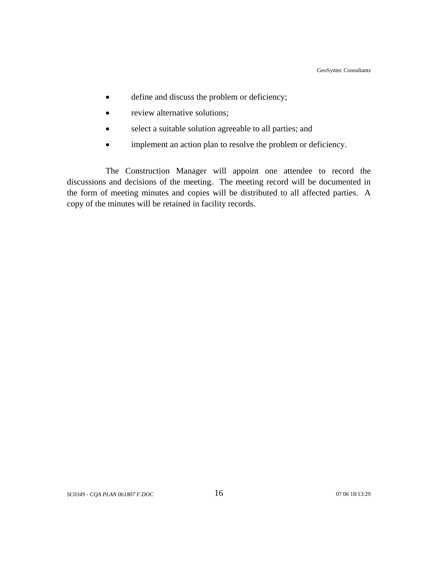- define and discuss the problem or deficiency;
- review alternative solutions;
- select a suitable solution agreeable to all parties; and
- implement an action plan to resolve the problem or deficiency.

The Construction Manager will appoint one attendee to record the discussions and decisions of the meeting. The meeting record will be documented in the form of meeting minutes and copies will be distributed to all affected parties. A copy of the minutes will be retained in facility records.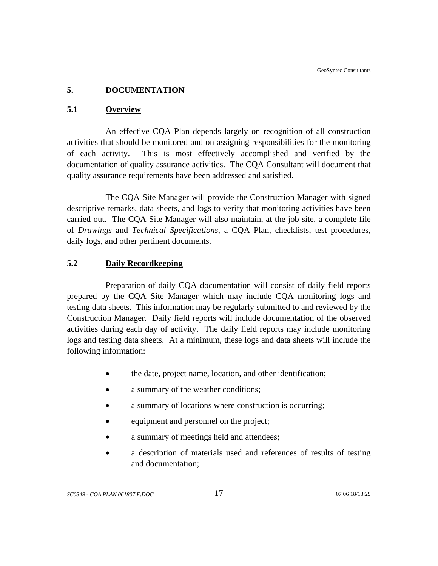## <span id="page-24-0"></span>**5. DOCUMENTATION**

### **5.1 Overview**

An effective CQA Plan depends largely on recognition of all construction activities that should be monitored and on assigning responsibilities for the monitoring of each activity. This is most effectively accomplished and verified by the documentation of quality assurance activities. The CQA Consultant will document that quality assurance requirements have been addressed and satisfied.

The CQA Site Manager will provide the Construction Manager with signed descriptive remarks, data sheets, and logs to verify that monitoring activities have been carried out. The CQA Site Manager will also maintain, at the job site, a complete file of *Drawings* and *Technical Specifications*, a CQA Plan, checklists, test procedures, daily logs, and other pertinent documents.

## **5.2 Daily Recordkeeping**

Preparation of daily CQA documentation will consist of daily field reports prepared by the CQA Site Manager which may include CQA monitoring logs and testing data sheets. This information may be regularly submitted to and reviewed by the Construction Manager. Daily field reports will include documentation of the observed activities during each day of activity. The daily field reports may include monitoring logs and testing data sheets. At a minimum, these logs and data sheets will include the following information:

- the date, project name, location, and other identification;
- a summary of the weather conditions;
- a summary of locations where construction is occurring:
- equipment and personnel on the project;
- a summary of meetings held and attendees;
- a description of materials used and references of results of testing and documentation;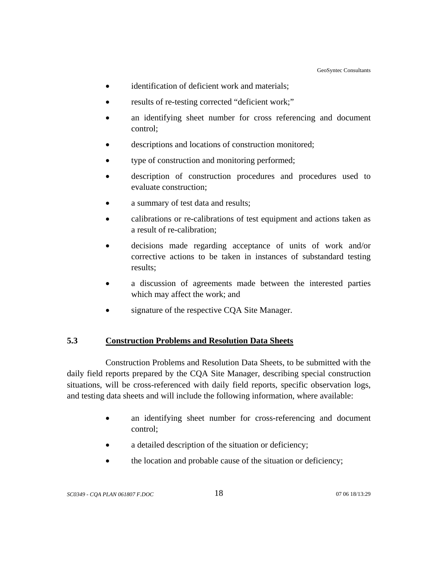- <span id="page-25-0"></span>• identification of deficient work and materials;
- results of re-testing corrected "deficient work;"
- an identifying sheet number for cross referencing and document control;
- descriptions and locations of construction monitored;
- type of construction and monitoring performed;
- description of construction procedures and procedures used to evaluate construction;
- a summary of test data and results;
- calibrations or re-calibrations of test equipment and actions taken as a result of re-calibration;
- decisions made regarding acceptance of units of work and/or corrective actions to be taken in instances of substandard testing results;
- a discussion of agreements made between the interested parties which may affect the work; and
- signature of the respective CQA Site Manager.

## **5.3 Construction Problems and Resolution Data Sheets**

Construction Problems and Resolution Data Sheets, to be submitted with the daily field reports prepared by the CQA Site Manager, describing special construction situations, will be cross-referenced with daily field reports, specific observation logs, and testing data sheets and will include the following information, where available:

- an identifying sheet number for cross-referencing and document control;
- a detailed description of the situation or deficiency;
- the location and probable cause of the situation or deficiency;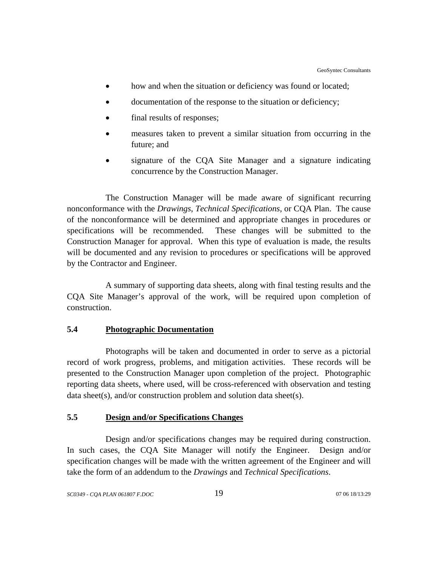- <span id="page-26-0"></span>• how and when the situation or deficiency was found or located;
- documentation of the response to the situation or deficiency;
- final results of responses;
- measures taken to prevent a similar situation from occurring in the future; and
- signature of the CQA Site Manager and a signature indicating concurrence by the Construction Manager.

The Construction Manager will be made aware of significant recurring nonconformance with the *Drawings*, *Technical Specifications*, or CQA Plan. The cause of the nonconformance will be determined and appropriate changes in procedures or specifications will be recommended. These changes will be submitted to the Construction Manager for approval. When this type of evaluation is made, the results will be documented and any revision to procedures or specifications will be approved by the Contractor and Engineer.

A summary of supporting data sheets, along with final testing results and the CQA Site Manager's approval of the work, will be required upon completion of construction.

#### **5.4 Photographic Documentation**

Photographs will be taken and documented in order to serve as a pictorial record of work progress, problems, and mitigation activities. These records will be presented to the Construction Manager upon completion of the project. Photographic reporting data sheets, where used, will be cross-referenced with observation and testing data sheet(s), and/or construction problem and solution data sheet(s).

## **5.5 Design and/or Specifications Changes**

Design and/or specifications changes may be required during construction. In such cases, the CQA Site Manager will notify the Engineer. Design and/or specification changes will be made with the written agreement of the Engineer and will take the form of an addendum to the *Drawings* and *Technical Specifications*.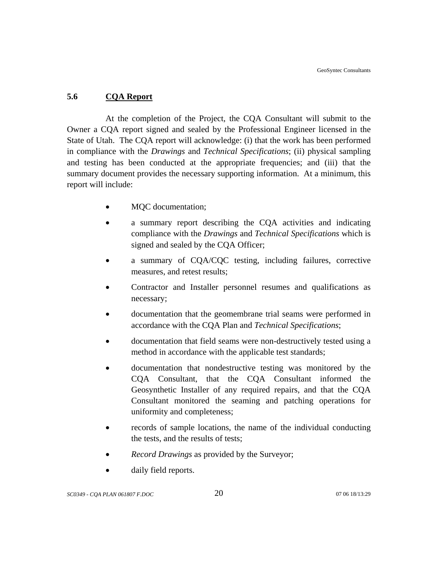## <span id="page-27-0"></span>**5.6 CQA Report**

At the completion of the Project, the CQA Consultant will submit to the Owner a CQA report signed and sealed by the Professional Engineer licensed in the State of Utah. The CQA report will acknowledge: (i) that the work has been performed in compliance with the *Drawings* and *Technical Specifications*; (ii) physical sampling and testing has been conducted at the appropriate frequencies; and (iii) that the summary document provides the necessary supporting information. At a minimum, this report will include:

- MQC documentation;
- a summary report describing the CQA activities and indicating compliance with the *Drawings* and *Technical Specifications* which is signed and sealed by the CQA Officer;
- a summary of CQA/CQC testing, including failures, corrective measures, and retest results;
- Contractor and Installer personnel resumes and qualifications as necessary;
- documentation that the geomembrane trial seams were performed in accordance with the CQA Plan and *Technical Specifications*;
- documentation that field seams were non-destructively tested using a method in accordance with the applicable test standards;
- documentation that nondestructive testing was monitored by the CQA Consultant, that the CQA Consultant informed the Geosynthetic Installer of any required repairs, and that the CQA Consultant monitored the seaming and patching operations for uniformity and completeness;
- records of sample locations, the name of the individual conducting the tests, and the results of tests;
- *Record Drawings* as provided by the Surveyor;
- daily field reports.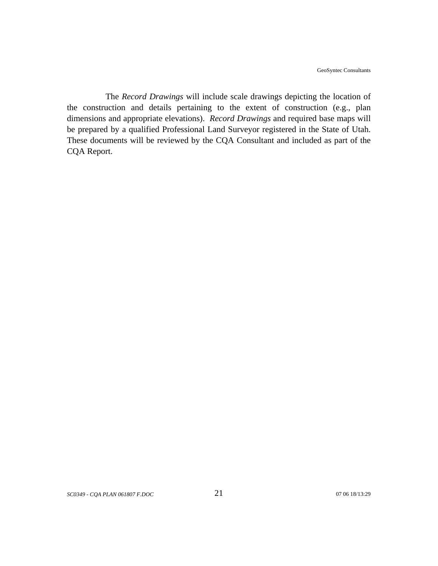The *Record Drawings* will include scale drawings depicting the location of the construction and details pertaining to the extent of construction (e.g., plan dimensions and appropriate elevations). *Record Drawings* and required base maps will be prepared by a qualified Professional Land Surveyor registered in the State of Utah. These documents will be reviewed by the CQA Consultant and included as part of the CQA Report.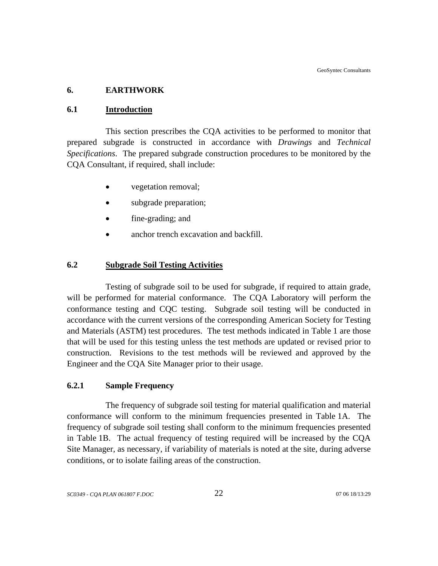## <span id="page-29-0"></span>**6. EARTHWORK**

### **6.1 Introduction**

This section prescribes the CQA activities to be performed to monitor that prepared subgrade is constructed in accordance with *Drawings* and *Technical Specifications*. The prepared subgrade construction procedures to be monitored by the CQA Consultant, if required, shall include:

- vegetation removal;
- subgrade preparation;
- fine-grading; and
- anchor trench excavation and backfill.

## **6.2 Subgrade Soil Testing Activities**

Testing of subgrade soil to be used for subgrade, if required to attain grade, will be performed for material conformance. The CQA Laboratory will perform the conformance testing and CQC testing. Subgrade soil testing will be conducted in accordance with the current versions of the corresponding American Society for Testing and Materials (ASTM) test procedures. The test methods indicated in Table 1 are those that will be used for this testing unless the test methods are updated or revised prior to construction. Revisions to the test methods will be reviewed and approved by the Engineer and the CQA Site Manager prior to their usage.

#### **6.2.1 Sample Frequency**

The frequency of subgrade soil testing for material qualification and material conformance will conform to the minimum frequencies presented in Table 1A. The frequency of subgrade soil testing shall conform to the minimum frequencies presented in Table 1B. The actual frequency of testing required will be increased by the CQA Site Manager, as necessary, if variability of materials is noted at the site, during adverse conditions, or to isolate failing areas of the construction.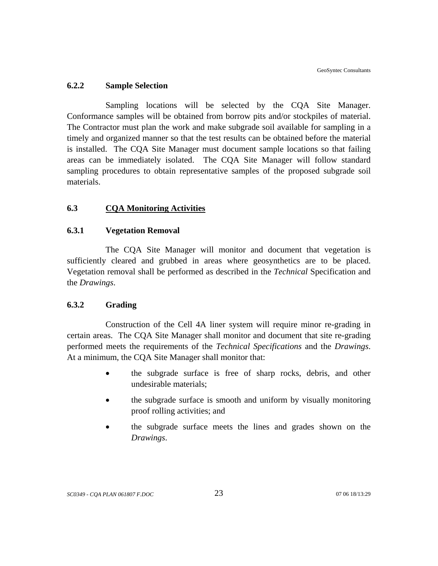#### <span id="page-30-0"></span>**6.2.2 Sample Selection**

Sampling locations will be selected by the CQA Site Manager. Conformance samples will be obtained from borrow pits and/or stockpiles of material. The Contractor must plan the work and make subgrade soil available for sampling in a timely and organized manner so that the test results can be obtained before the material is installed. The CQA Site Manager must document sample locations so that failing areas can be immediately isolated. The CQA Site Manager will follow standard sampling procedures to obtain representative samples of the proposed subgrade soil materials.

## **6.3 CQA Monitoring Activities**

#### **6.3.1 Vegetation Removal**

The CQA Site Manager will monitor and document that vegetation is sufficiently cleared and grubbed in areas where geosynthetics are to be placed. Vegetation removal shall be performed as described in the *Technical* Specification and the *Drawings*.

#### **6.3.2 Grading**

 Construction of the Cell 4A liner system will require minor re-grading in certain areas. The CQA Site Manager shall monitor and document that site re-grading performed meets the requirements of the *Technical Specifications* and the *Drawings*. At a minimum, the CQA Site Manager shall monitor that:

- the subgrade surface is free of sharp rocks, debris, and other undesirable materials;
- the subgrade surface is smooth and uniform by visually monitoring proof rolling activities; and
- the subgrade surface meets the lines and grades shown on the *Drawings*.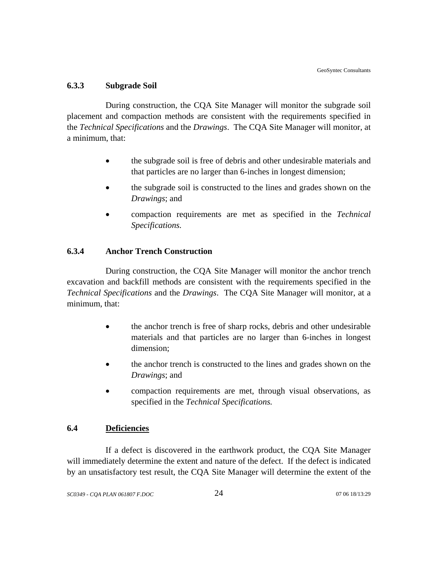#### <span id="page-31-0"></span>**6.3.3 Subgrade Soil**

During construction, the CQA Site Manager will monitor the subgrade soil placement and compaction methods are consistent with the requirements specified in the *Technical Specifications* and the *Drawings*. The CQA Site Manager will monitor, at a minimum, that:

- the subgrade soil is free of debris and other undesirable materials and that particles are no larger than 6-inches in longest dimension;
- the subgrade soil is constructed to the lines and grades shown on the *Drawings*; and
- compaction requirements are met as specified in the *Technical Specifications.*

## **6.3.4 Anchor Trench Construction**

During construction, the CQA Site Manager will monitor the anchor trench excavation and backfill methods are consistent with the requirements specified in the *Technical Specifications* and the *Drawings*. The CQA Site Manager will monitor, at a minimum, that:

- the anchor trench is free of sharp rocks, debris and other undesirable materials and that particles are no larger than 6-inches in longest dimension;
- the anchor trench is constructed to the lines and grades shown on the *Drawings*; and
- compaction requirements are met, through visual observations, as specified in the *Technical Specifications.*

## **6.4 Deficiencies**

If a defect is discovered in the earthwork product, the CQA Site Manager will immediately determine the extent and nature of the defect. If the defect is indicated by an unsatisfactory test result, the CQA Site Manager will determine the extent of the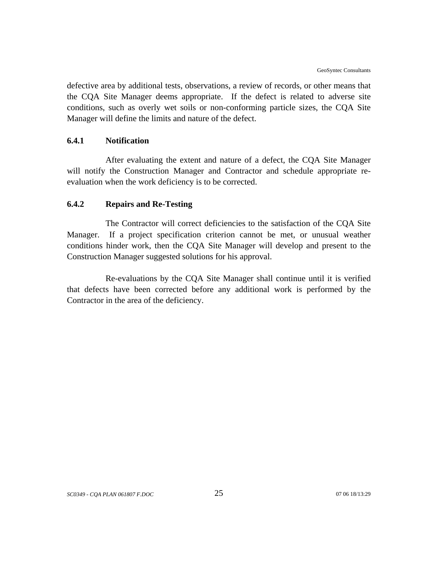<span id="page-32-0"></span>defective area by additional tests, observations, a review of records, or other means that the CQA Site Manager deems appropriate. If the defect is related to adverse site conditions, such as overly wet soils or non-conforming particle sizes, the CQA Site Manager will define the limits and nature of the defect.

#### **6.4.1 Notification**

After evaluating the extent and nature of a defect, the CQA Site Manager will notify the Construction Manager and Contractor and schedule appropriate reevaluation when the work deficiency is to be corrected.

#### **6.4.2 Repairs and Re-Testing**

The Contractor will correct deficiencies to the satisfaction of the CQA Site Manager. If a project specification criterion cannot be met, or unusual weather conditions hinder work, then the CQA Site Manager will develop and present to the Construction Manager suggested solutions for his approval.

Re-evaluations by the CQA Site Manager shall continue until it is verified that defects have been corrected before any additional work is performed by the Contractor in the area of the deficiency.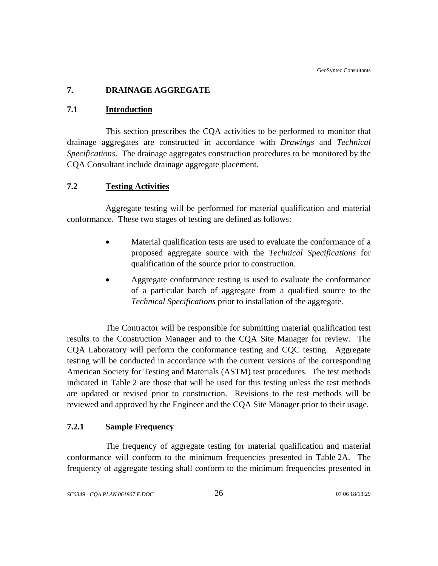## <span id="page-33-0"></span>**7. DRAINAGE AGGREGATE**

#### **7.1 Introduction**

This section prescribes the CQA activities to be performed to monitor that drainage aggregates are constructed in accordance with *Drawings* and *Technical Specifications*. The drainage aggregates construction procedures to be monitored by the CQA Consultant include drainage aggregate placement.

## **7.2 Testing Activities**

Aggregate testing will be performed for material qualification and material conformance. These two stages of testing are defined as follows:

- Material qualification tests are used to evaluate the conformance of a proposed aggregate source with the *Technical Specifications* for qualification of the source prior to construction.
- Aggregate conformance testing is used to evaluate the conformance of a particular batch of aggregate from a qualified source to the *Technical Specifications* prior to installation of the aggregate.

The Contractor will be responsible for submitting material qualification test results to the Construction Manager and to the CQA Site Manager for review. The CQA Laboratory will perform the conformance testing and CQC testing. Aggregate testing will be conducted in accordance with the current versions of the corresponding American Society for Testing and Materials (ASTM) test procedures. The test methods indicated in Table 2 are those that will be used for this testing unless the test methods are updated or revised prior to construction. Revisions to the test methods will be reviewed and approved by the Engineer and the CQA Site Manager prior to their usage.

## **7.2.1 Sample Frequency**

The frequency of aggregate testing for material qualification and material conformance will conform to the minimum frequencies presented in Table 2A. The frequency of aggregate testing shall conform to the minimum frequencies presented in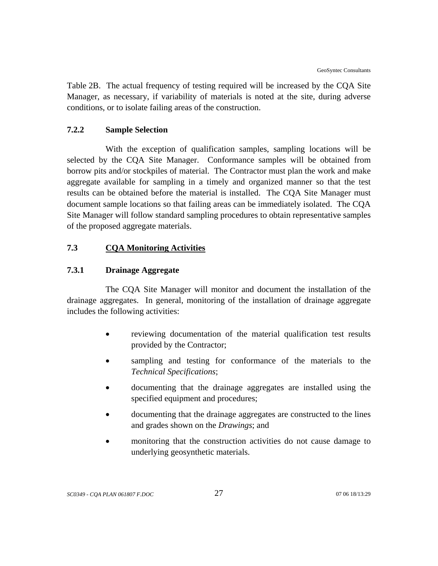<span id="page-34-0"></span>Table 2B. The actual frequency of testing required will be increased by the CQA Site Manager, as necessary, if variability of materials is noted at the site, during adverse conditions, or to isolate failing areas of the construction.

### **7.2.2 Sample Selection**

With the exception of qualification samples, sampling locations will be selected by the CQA Site Manager. Conformance samples will be obtained from borrow pits and/or stockpiles of material. The Contractor must plan the work and make aggregate available for sampling in a timely and organized manner so that the test results can be obtained before the material is installed. The CQA Site Manager must document sample locations so that failing areas can be immediately isolated. The CQA Site Manager will follow standard sampling procedures to obtain representative samples of the proposed aggregate materials.

## **7.3 CQA Monitoring Activities**

#### **7.3.1 Drainage Aggregate**

The CQA Site Manager will monitor and document the installation of the drainage aggregates. In general, monitoring of the installation of drainage aggregate includes the following activities:

- reviewing documentation of the material qualification test results provided by the Contractor;
- sampling and testing for conformance of the materials to the *Technical Specifications*;
- documenting that the drainage aggregates are installed using the specified equipment and procedures;
- documenting that the drainage aggregates are constructed to the lines and grades shown on the *Drawings*; and
- monitoring that the construction activities do not cause damage to underlying geosynthetic materials.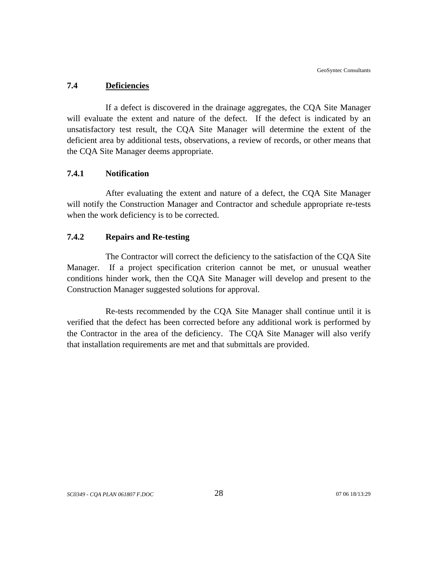#### <span id="page-35-0"></span>**7.4 Deficiencies**

If a defect is discovered in the drainage aggregates, the CQA Site Manager will evaluate the extent and nature of the defect. If the defect is indicated by an unsatisfactory test result, the CQA Site Manager will determine the extent of the deficient area by additional tests, observations, a review of records, or other means that the CQA Site Manager deems appropriate.

## **7.4.1 Notification**

After evaluating the extent and nature of a defect, the CQA Site Manager will notify the Construction Manager and Contractor and schedule appropriate re-tests when the work deficiency is to be corrected.

#### **7.4.2 Repairs and Re-testing**

The Contractor will correct the deficiency to the satisfaction of the CQA Site Manager. If a project specification criterion cannot be met, or unusual weather conditions hinder work, then the CQA Site Manager will develop and present to the Construction Manager suggested solutions for approval.

Re-tests recommended by the CQA Site Manager shall continue until it is verified that the defect has been corrected before any additional work is performed by the Contractor in the area of the deficiency. The CQA Site Manager will also verify that installation requirements are met and that submittals are provided.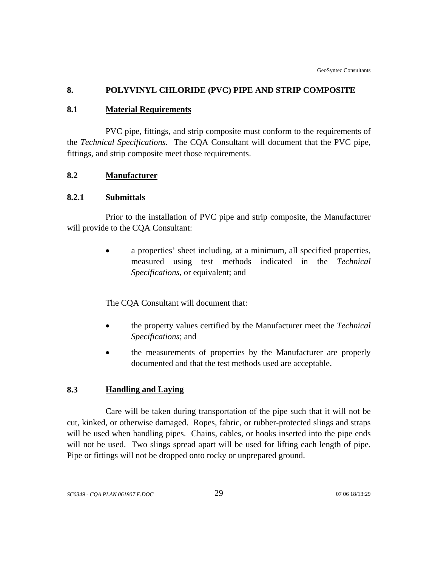## **8. POLYVINYL CHLORIDE (PVC) PIPE AND STRIP COMPOSITE**

### **8.1 Material Requirements**

PVC pipe, fittings, and strip composite must conform to the requirements of the *Technical Specifications*. The CQA Consultant will document that the PVC pipe, fittings, and strip composite meet those requirements.

## **8.2 Manufacturer**

## **8.2.1 Submittals**

Prior to the installation of PVC pipe and strip composite, the Manufacturer will provide to the CQA Consultant:

> • a properties' sheet including, at a minimum, all specified properties, measured using test methods indicated in the *Technical Specifications*, or equivalent; and

The CQA Consultant will document that:

- the property values certified by the Manufacturer meet the *Technical Specifications*; and
- the measurements of properties by the Manufacturer are properly documented and that the test methods used are acceptable.

## **8.3 Handling and Laying**

Care will be taken during transportation of the pipe such that it will not be cut, kinked, or otherwise damaged. Ropes, fabric, or rubber-protected slings and straps will be used when handling pipes. Chains, cables, or hooks inserted into the pipe ends will not be used. Two slings spread apart will be used for lifting each length of pipe. Pipe or fittings will not be dropped onto rocky or unprepared ground.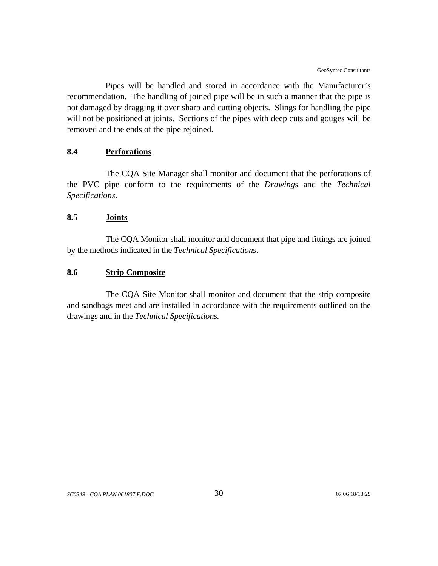Pipes will be handled and stored in accordance with the Manufacturer's recommendation. The handling of joined pipe will be in such a manner that the pipe is not damaged by dragging it over sharp and cutting objects. Slings for handling the pipe will not be positioned at joints. Sections of the pipes with deep cuts and gouges will be removed and the ends of the pipe rejoined.

## **8.4 Perforations**

The CQA Site Manager shall monitor and document that the perforations of the PVC pipe conform to the requirements of the *Drawings* and the *Technical Specifications*.

### **8.5 Joints**

The CQA Monitor shall monitor and document that pipe and fittings are joined by the methods indicated in the *Technical Specifications*.

## **8.6 Strip Composite**

The CQA Site Monitor shall monitor and document that the strip composite and sandbags meet and are installed in accordance with the requirements outlined on the drawings and in the *Technical Specifications.*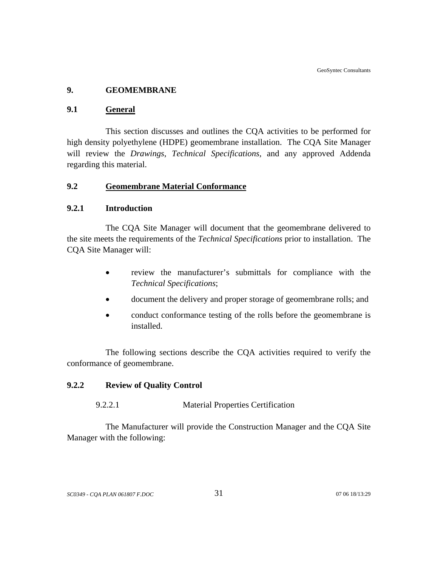## **9. GEOMEMBRANE**

### **9.1 General**

This section discusses and outlines the CQA activities to be performed for high density polyethylene (HDPE) geomembrane installation. The CQA Site Manager will review the *Drawings*, *Technical Specifications,* and any approved Addenda regarding this material.

## **9.2 Geomembrane Material Conformance**

### **9.2.1 Introduction**

The CQA Site Manager will document that the geomembrane delivered to the site meets the requirements of the *Technical Specifications* prior to installation. The CQA Site Manager will:

- review the manufacturer's submittals for compliance with the *Technical Specifications*;
- document the delivery and proper storage of geomembrane rolls; and
- conduct conformance testing of the rolls before the geomembrane is installed.

The following sections describe the CQA activities required to verify the conformance of geomembrane.

## **9.2.2 Review of Quality Control**

### 9.2.2.1 Material Properties Certification

The Manufacturer will provide the Construction Manager and the CQA Site Manager with the following: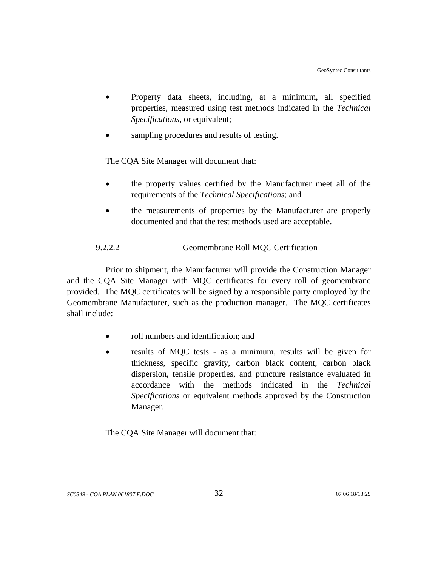- Property data sheets, including, at a minimum, all specified properties, measured using test methods indicated in the *Technical Specifications*, or equivalent;
- sampling procedures and results of testing.

The CQA Site Manager will document that:

- the property values certified by the Manufacturer meet all of the requirements of the *Technical Specifications*; and
- the measurements of properties by the Manufacturer are properly documented and that the test methods used are acceptable.

## 9.2.2.2 Geomembrane Roll MQC Certification

Prior to shipment, the Manufacturer will provide the Construction Manager and the CQA Site Manager with MQC certificates for every roll of geomembrane provided. The MQC certificates will be signed by a responsible party employed by the Geomembrane Manufacturer, such as the production manager. The MQC certificates shall include:

- roll numbers and identification; and
- results of MQC tests as a minimum, results will be given for thickness, specific gravity, carbon black content, carbon black dispersion, tensile properties, and puncture resistance evaluated in accordance with the methods indicated in the *Technical Specifications* or equivalent methods approved by the Construction Manager.

The CQA Site Manager will document that: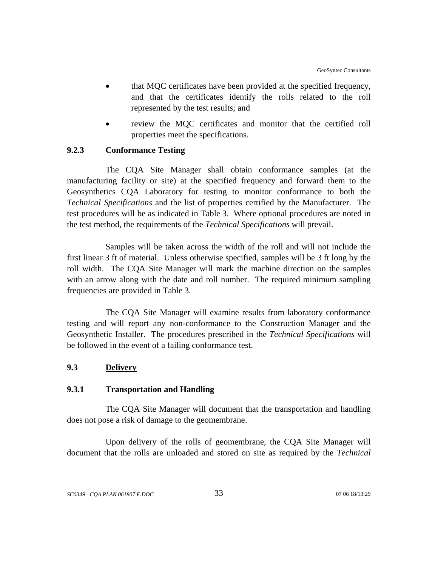- that MQC certificates have been provided at the specified frequency, and that the certificates identify the rolls related to the roll represented by the test results; and
- review the MOC certificates and monitor that the certified roll properties meet the specifications.

## **9.2.3 Conformance Testing**

The CQA Site Manager shall obtain conformance samples (at the manufacturing facility or site) at the specified frequency and forward them to the Geosynthetics CQA Laboratory for testing to monitor conformance to both the *Technical Specifications* and the list of properties certified by the Manufacturer. The test procedures will be as indicated in Table 3. Where optional procedures are noted in the test method, the requirements of the *Technical Specifications* will prevail.

Samples will be taken across the width of the roll and will not include the first linear 3 ft of material. Unless otherwise specified, samples will be 3 ft long by the roll width. The CQA Site Manager will mark the machine direction on the samples with an arrow along with the date and roll number. The required minimum sampling frequencies are provided in Table 3.

The CQA Site Manager will examine results from laboratory conformance testing and will report any non-conformance to the Construction Manager and the Geosynthetic Installer. The procedures prescribed in the *Technical Specifications* will be followed in the event of a failing conformance test.

## **9.3 Delivery**

### **9.3.1 Transportation and Handling**

The CQA Site Manager will document that the transportation and handling does not pose a risk of damage to the geomembrane.

Upon delivery of the rolls of geomembrane, the CQA Site Manager will document that the rolls are unloaded and stored on site as required by the *Technical*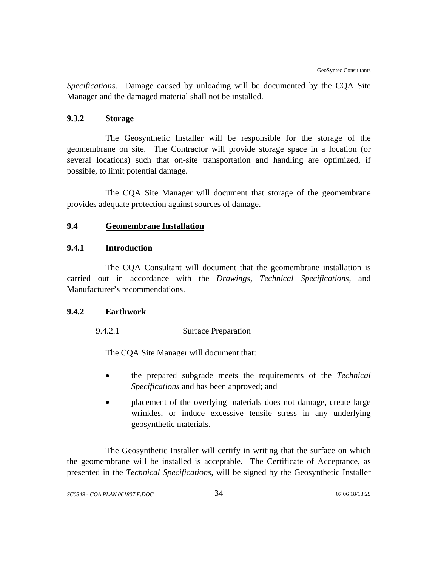*Specifications*. Damage caused by unloading will be documented by the CQA Site Manager and the damaged material shall not be installed.

### **9.3.2 Storage**

The Geosynthetic Installer will be responsible for the storage of the geomembrane on site. The Contractor will provide storage space in a location (or several locations) such that on-site transportation and handling are optimized, if possible, to limit potential damage.

The CQA Site Manager will document that storage of the geomembrane provides adequate protection against sources of damage.

## **9.4 Geomembrane Installation**

## **9.4.1 Introduction**

The CQA Consultant will document that the geomembrane installation is carried out in accordance with the *Drawings, Technical Specifications,* and Manufacturer's recommendations.

### **9.4.2 Earthwork**

9.4.2.1 Surface Preparation

The CQA Site Manager will document that:

- the prepared subgrade meets the requirements of the *Technical Specifications* and has been approved; and
- placement of the overlying materials does not damage, create large wrinkles, or induce excessive tensile stress in any underlying geosynthetic materials.

The Geosynthetic Installer will certify in writing that the surface on which the geomembrane will be installed is acceptable. The Certificate of Acceptance, as presented in the *Technical Specifications*, will be signed by the Geosynthetic Installer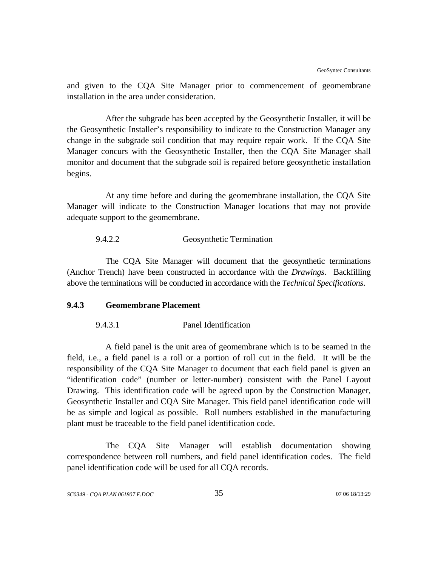and given to the CQA Site Manager prior to commencement of geomembrane installation in the area under consideration.

After the subgrade has been accepted by the Geosynthetic Installer, it will be the Geosynthetic Installer's responsibility to indicate to the Construction Manager any change in the subgrade soil condition that may require repair work. If the CQA Site Manager concurs with the Geosynthetic Installer, then the CQA Site Manager shall monitor and document that the subgrade soil is repaired before geosynthetic installation begins.

At any time before and during the geomembrane installation, the CQA Site Manager will indicate to the Construction Manager locations that may not provide adequate support to the geomembrane.

#### 9.4.2.2 Geosynthetic Termination

The CQA Site Manager will document that the geosynthetic terminations (Anchor Trench) have been constructed in accordance with the *Drawings*. Backfilling above the terminations will be conducted in accordance with the *Technical Specifications*.

#### **9.4.3 Geomembrane Placement**

9.4.3.1 Panel Identification

A field panel is the unit area of geomembrane which is to be seamed in the field, i.e., a field panel is a roll or a portion of roll cut in the field. It will be the responsibility of the CQA Site Manager to document that each field panel is given an "identification code" (number or letter-number) consistent with the Panel Layout Drawing. This identification code will be agreed upon by the Construction Manager, Geosynthetic Installer and CQA Site Manager. This field panel identification code will be as simple and logical as possible. Roll numbers established in the manufacturing plant must be traceable to the field panel identification code.

The CQA Site Manager will establish documentation showing correspondence between roll numbers, and field panel identification codes. The field panel identification code will be used for all CQA records.

*SC0349 - CQA PLAN 061807 F.DOC* 35 07 06 18/13:29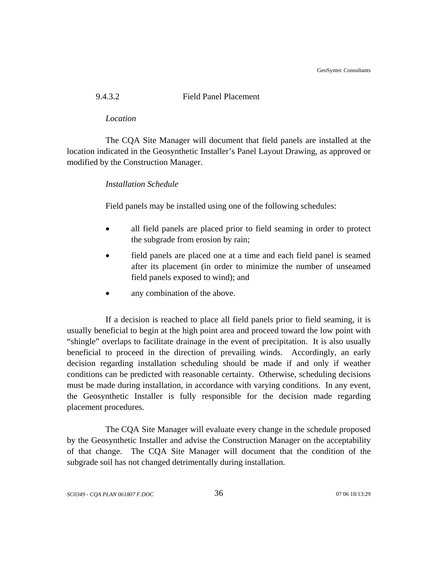GeoSyntec Consultants

# 9.4.3.2 Field Panel Placement

#### *Location*

The CQA Site Manager will document that field panels are installed at the location indicated in the Geosynthetic Installer's Panel Layout Drawing, as approved or modified by the Construction Manager.

## *Installation Schedule*

Field panels may be installed using one of the following schedules:

- all field panels are placed prior to field seaming in order to protect the subgrade from erosion by rain;
- field panels are placed one at a time and each field panel is seamed after its placement (in order to minimize the number of unseamed field panels exposed to wind); and
- any combination of the above.

If a decision is reached to place all field panels prior to field seaming, it is usually beneficial to begin at the high point area and proceed toward the low point with "shingle" overlaps to facilitate drainage in the event of precipitation. It is also usually beneficial to proceed in the direction of prevailing winds. Accordingly, an early decision regarding installation scheduling should be made if and only if weather conditions can be predicted with reasonable certainty. Otherwise, scheduling decisions must be made during installation, in accordance with varying conditions. In any event, the Geosynthetic Installer is fully responsible for the decision made regarding placement procedures.

The CQA Site Manager will evaluate every change in the schedule proposed by the Geosynthetic Installer and advise the Construction Manager on the acceptability of that change. The CQA Site Manager will document that the condition of the subgrade soil has not changed detrimentally during installation.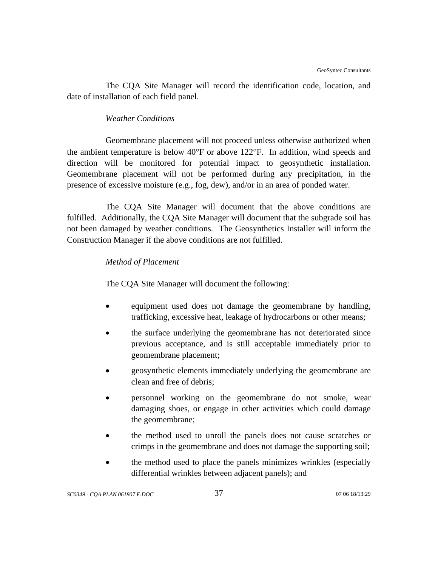The CQA Site Manager will record the identification code, location, and date of installation of each field panel.

## *Weather Conditions*

Geomembrane placement will not proceed unless otherwise authorized when the ambient temperature is below 40°F or above 122°F. In addition, wind speeds and direction will be monitored for potential impact to geosynthetic installation. Geomembrane placement will not be performed during any precipitation, in the presence of excessive moisture (e.g., fog, dew), and/or in an area of ponded water.

The CQA Site Manager will document that the above conditions are fulfilled. Additionally, the CQA Site Manager will document that the subgrade soil has not been damaged by weather conditions. The Geosynthetics Installer will inform the Construction Manager if the above conditions are not fulfilled.

# *Method of Placement*

The CQA Site Manager will document the following:

- equipment used does not damage the geomembrane by handling, trafficking, excessive heat, leakage of hydrocarbons or other means;
- the surface underlying the geomembrane has not deteriorated since previous acceptance, and is still acceptable immediately prior to geomembrane placement;
- geosynthetic elements immediately underlying the geomembrane are clean and free of debris;
- personnel working on the geomembrane do not smoke, wear damaging shoes, or engage in other activities which could damage the geomembrane;
- the method used to unroll the panels does not cause scratches or crimps in the geomembrane and does not damage the supporting soil;
- the method used to place the panels minimizes wrinkles (especially differential wrinkles between adjacent panels); and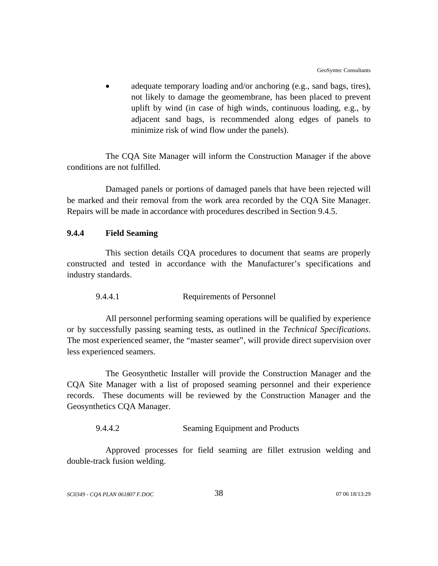adequate temporary loading and/or anchoring (e.g., sand bags, tires), not likely to damage the geomembrane, has been placed to prevent uplift by wind (in case of high winds, continuous loading, e.g., by adjacent sand bags, is recommended along edges of panels to minimize risk of wind flow under the panels).

The CQA Site Manager will inform the Construction Manager if the above conditions are not fulfilled.

Damaged panels or portions of damaged panels that have been rejected will be marked and their removal from the work area recorded by the CQA Site Manager. Repairs will be made in accordance with procedures described in Section 9.4.5.

### **9.4.4 Field Seaming**

This section details CQA procedures to document that seams are properly constructed and tested in accordance with the Manufacturer's specifications and industry standards.

#### 9.4.4.1 Requirements of Personnel

All personnel performing seaming operations will be qualified by experience or by successfully passing seaming tests, as outlined in the *Technical Specifications*. The most experienced seamer, the "master seamer", will provide direct supervision over less experienced seamers.

The Geosynthetic Installer will provide the Construction Manager and the CQA Site Manager with a list of proposed seaming personnel and their experience records. These documents will be reviewed by the Construction Manager and the Geosynthetics CQA Manager.

### 9.4.4.2 Seaming Equipment and Products

Approved processes for field seaming are fillet extrusion welding and double-track fusion welding.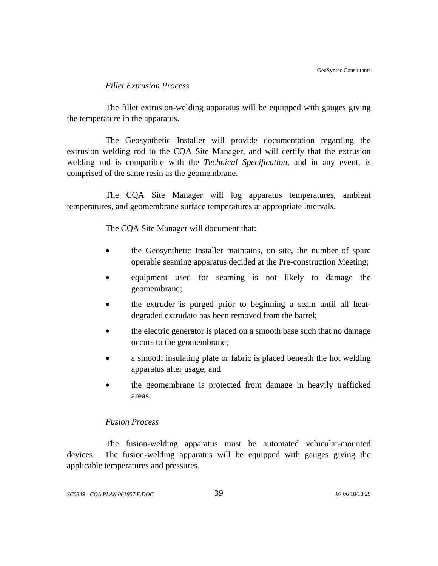## *Fillet Extrusion Process*

The fillet extrusion-welding apparatus will be equipped with gauges giving the temperature in the apparatus.

The Geosynthetic Installer will provide documentation regarding the extrusion welding rod to the CQA Site Manager, and will certify that the extrusion welding rod is compatible with the *Technical Specification*, and in any event, is comprised of the same resin as the geomembrane.

The CQA Site Manager will log apparatus temperatures, ambient temperatures, and geomembrane surface temperatures at appropriate intervals.

The CQA Site Manager will document that:

- the Geosynthetic Installer maintains, on site, the number of spare operable seaming apparatus decided at the Pre-construction Meeting;
- equipment used for seaming is not likely to damage the geomembrane;
- the extruder is purged prior to beginning a seam until all heatdegraded extrudate has been removed from the barrel;
- the electric generator is placed on a smooth base such that no damage occurs to the geomembrane;
- a smooth insulating plate or fabric is placed beneath the hot welding apparatus after usage; and
- the geomembrane is protected from damage in heavily trafficked areas.

## *Fusion Process*

The fusion-welding apparatus must be automated vehicular-mounted devices. The fusion-welding apparatus will be equipped with gauges giving the applicable temperatures and pressures.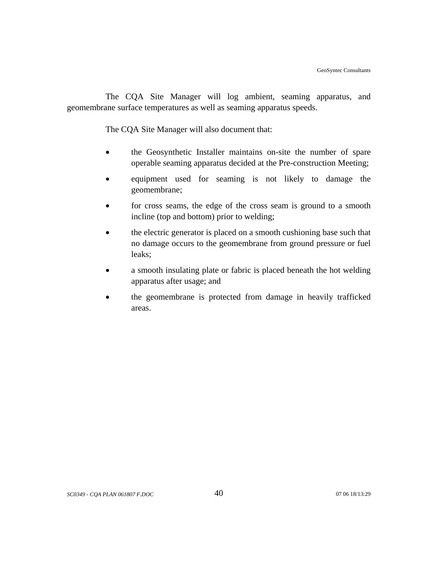The CQA Site Manager will log ambient, seaming apparatus, and geomembrane surface temperatures as well as seaming apparatus speeds.

The CQA Site Manager will also document that:

- the Geosynthetic Installer maintains on-site the number of spare operable seaming apparatus decided at the Pre-construction Meeting;
- equipment used for seaming is not likely to damage the geomembrane;
- for cross seams, the edge of the cross seam is ground to a smooth incline (top and bottom) prior to welding;
- the electric generator is placed on a smooth cushioning base such that no damage occurs to the geomembrane from ground pressure or fuel leaks;
- a smooth insulating plate or fabric is placed beneath the hot welding apparatus after usage; and
- the geomembrane is protected from damage in heavily trafficked areas.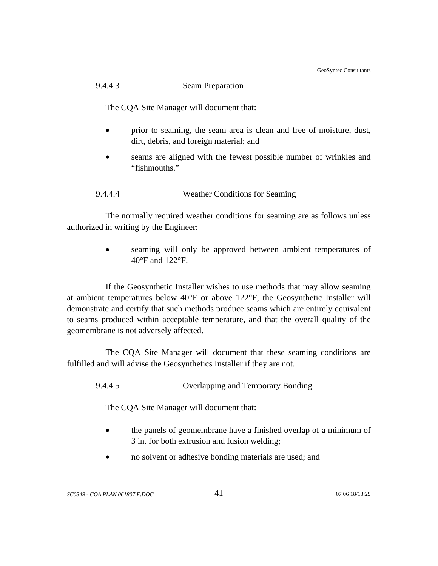GeoSyntec Consultants

## 9.4.4.3 Seam Preparation

The CQA Site Manager will document that:

- prior to seaming, the seam area is clean and free of moisture, dust, dirt, debris, and foreign material; and
- seams are aligned with the fewest possible number of wrinkles and "fishmouths."

## 9.4.4.4 Weather Conditions for Seaming

The normally required weather conditions for seaming are as follows unless authorized in writing by the Engineer:

> seaming will only be approved between ambient temperatures of 40°F and 122°F.

If the Geosynthetic Installer wishes to use methods that may allow seaming at ambient temperatures below 40°F or above 122°F, the Geosynthetic Installer will demonstrate and certify that such methods produce seams which are entirely equivalent to seams produced within acceptable temperature, and that the overall quality of the geomembrane is not adversely affected.

The CQA Site Manager will document that these seaming conditions are fulfilled and will advise the Geosynthetics Installer if they are not.

9.4.4.5 Overlapping and Temporary Bonding

The CQA Site Manager will document that:

- the panels of geomembrane have a finished overlap of a minimum of 3 in. for both extrusion and fusion welding;
- no solvent or adhesive bonding materials are used; and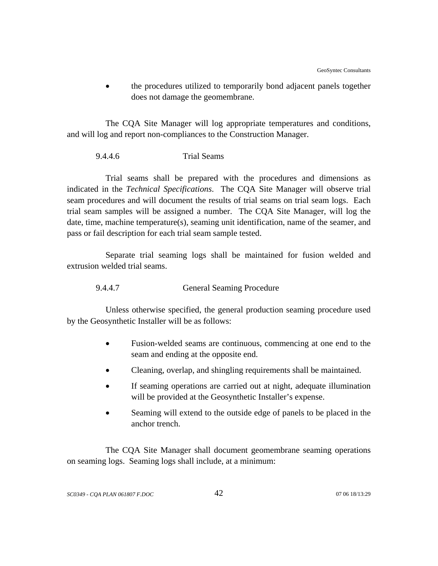• the procedures utilized to temporarily bond adjacent panels together does not damage the geomembrane.

The CQA Site Manager will log appropriate temperatures and conditions, and will log and report non-compliances to the Construction Manager.

### 9.4.4.6 Trial Seams

Trial seams shall be prepared with the procedures and dimensions as indicated in the *Technical Specifications*. The CQA Site Manager will observe trial seam procedures and will document the results of trial seams on trial seam logs. Each trial seam samples will be assigned a number. The CQA Site Manager, will log the date, time, machine temperature(s), seaming unit identification, name of the seamer, and pass or fail description for each trial seam sample tested.

Separate trial seaming logs shall be maintained for fusion welded and extrusion welded trial seams.

9.4.4.7 General Seaming Procedure

Unless otherwise specified, the general production seaming procedure used by the Geosynthetic Installer will be as follows:

- Fusion-welded seams are continuous, commencing at one end to the seam and ending at the opposite end.
- Cleaning, overlap, and shingling requirements shall be maintained.
- If seaming operations are carried out at night, adequate illumination will be provided at the Geosynthetic Installer's expense.
- Seaming will extend to the outside edge of panels to be placed in the anchor trench.

The CQA Site Manager shall document geomembrane seaming operations on seaming logs. Seaming logs shall include, at a minimum: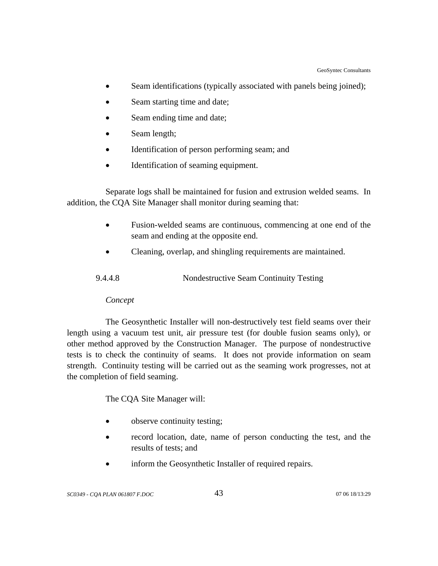- Seam identifications (typically associated with panels being joined);
- Seam starting time and date;
- Seam ending time and date;
- Seam length;
- Identification of person performing seam; and
- Identification of seaming equipment.

 Separate logs shall be maintained for fusion and extrusion welded seams. In addition, the CQA Site Manager shall monitor during seaming that:

- Fusion-welded seams are continuous, commencing at one end of the seam and ending at the opposite end.
- Cleaning, overlap, and shingling requirements are maintained.

| 9.4.4.8 | Nondestructive Seam Continuity Testing |  |
|---------|----------------------------------------|--|
|         |                                        |  |

## *Concept*

The Geosynthetic Installer will non-destructively test field seams over their length using a vacuum test unit, air pressure test (for double fusion seams only), or other method approved by the Construction Manager. The purpose of nondestructive tests is to check the continuity of seams. It does not provide information on seam strength. Continuity testing will be carried out as the seaming work progresses, not at the completion of field seaming.

The CQA Site Manager will:

- observe continuity testing;
- record location, date, name of person conducting the test, and the results of tests; and
- inform the Geosynthetic Installer of required repairs.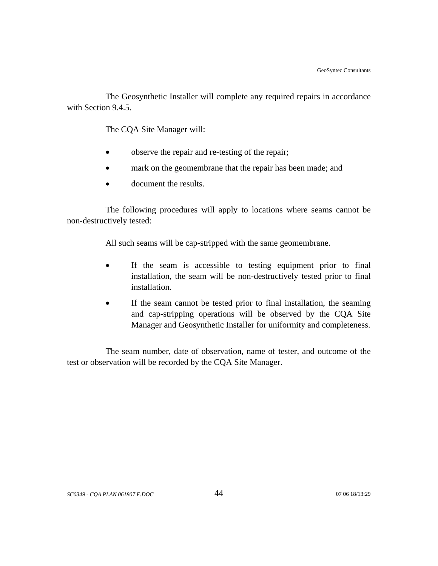The Geosynthetic Installer will complete any required repairs in accordance with Section 9.4.5.

The CQA Site Manager will:

- observe the repair and re-testing of the repair;
- mark on the geomembrane that the repair has been made; and
- document the results.

The following procedures will apply to locations where seams cannot be non-destructively tested:

All such seams will be cap-stripped with the same geomembrane.

- If the seam is accessible to testing equipment prior to final installation, the seam will be non-destructively tested prior to final installation.
- If the seam cannot be tested prior to final installation, the seaming and cap-stripping operations will be observed by the CQA Site Manager and Geosynthetic Installer for uniformity and completeness.

The seam number, date of observation, name of tester, and outcome of the test or observation will be recorded by the CQA Site Manager.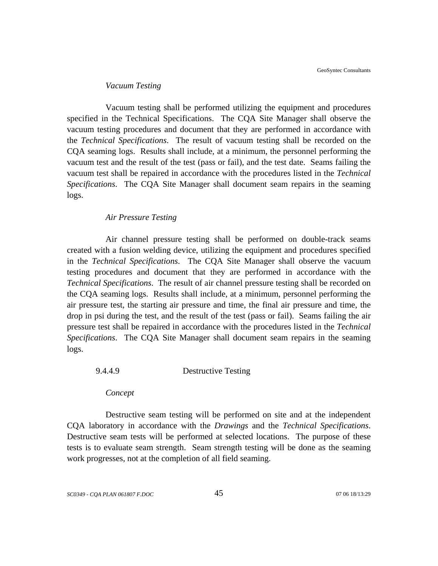#### *Vacuum Testing*

Vacuum testing shall be performed utilizing the equipment and procedures specified in the Technical Specifications. The CQA Site Manager shall observe the vacuum testing procedures and document that they are performed in accordance with the *Technical Specifications*. The result of vacuum testing shall be recorded on the CQA seaming logs. Results shall include, at a minimum, the personnel performing the vacuum test and the result of the test (pass or fail), and the test date. Seams failing the vacuum test shall be repaired in accordance with the procedures listed in the *Technical Specifications*. The CQA Site Manager shall document seam repairs in the seaming logs.

#### *Air Pressure Testing*

Air channel pressure testing shall be performed on double-track seams created with a fusion welding device, utilizing the equipment and procedures specified in the *Technical Specifications*. The CQA Site Manager shall observe the vacuum testing procedures and document that they are performed in accordance with the *Technical Specifications*. The result of air channel pressure testing shall be recorded on the CQA seaming logs. Results shall include, at a minimum, personnel performing the air pressure test, the starting air pressure and time, the final air pressure and time, the drop in psi during the test, and the result of the test (pass or fail). Seams failing the air pressure test shall be repaired in accordance with the procedures listed in the *Technical Specifications*. The CQA Site Manager shall document seam repairs in the seaming logs.

### 9.4.4.9 Destructive Testing

*Concept*

Destructive seam testing will be performed on site and at the independent CQA laboratory in accordance with the *Drawings* and the *Technical Specifications*. Destructive seam tests will be performed at selected locations. The purpose of these tests is to evaluate seam strength. Seam strength testing will be done as the seaming work progresses, not at the completion of all field seaming.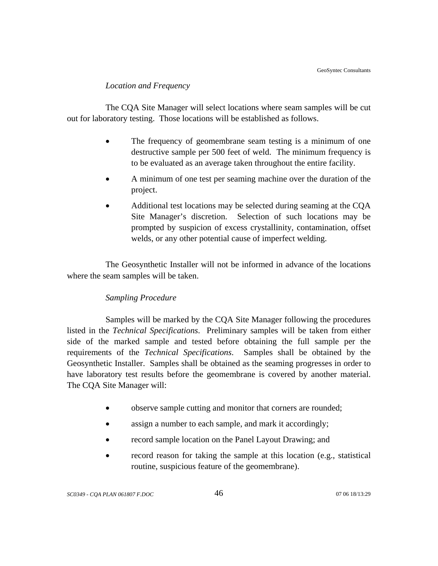### *Location and Frequency*

The CQA Site Manager will select locations where seam samples will be cut out for laboratory testing. Those locations will be established as follows.

- The frequency of geomembrane seam testing is a minimum of one destructive sample per 500 feet of weld. The minimum frequency is to be evaluated as an average taken throughout the entire facility.
- A minimum of one test per seaming machine over the duration of the project.
- Additional test locations may be selected during seaming at the CQA Site Manager's discretion. Selection of such locations may be prompted by suspicion of excess crystallinity, contamination, offset welds, or any other potential cause of imperfect welding.

The Geosynthetic Installer will not be informed in advance of the locations where the seam samples will be taken.

## *Sampling Procedure*

Samples will be marked by the CQA Site Manager following the procedures listed in the *Technical Specifications*. Preliminary samples will be taken from either side of the marked sample and tested before obtaining the full sample per the requirements of the *Technical Specifications*. Samples shall be obtained by the Geosynthetic Installer. Samples shall be obtained as the seaming progresses in order to have laboratory test results before the geomembrane is covered by another material. The CQA Site Manager will:

- observe sample cutting and monitor that corners are rounded;
- assign a number to each sample, and mark it accordingly;
- record sample location on the Panel Layout Drawing; and
- record reason for taking the sample at this location (e.g., statistical routine, suspicious feature of the geomembrane).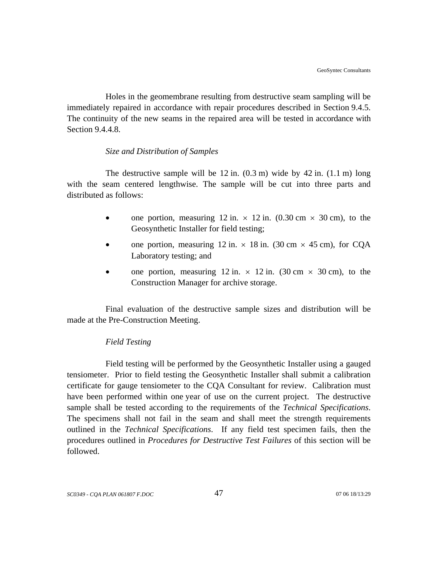Holes in the geomembrane resulting from destructive seam sampling will be immediately repaired in accordance with repair procedures described in Section 9.4.5. The continuity of the new seams in the repaired area will be tested in accordance with Section 9.4.4.8.

## *Size and Distribution of Samples*

The destructive sample will be  $12$  in.  $(0.3 \text{ m})$  wide by  $42$  in.  $(1.1 \text{ m})$  long with the seam centered lengthwise. The sample will be cut into three parts and distributed as follows:

- one portion, measuring 12 in.  $\times$  12 in. (0.30 cm  $\times$  30 cm), to the Geosynthetic Installer for field testing;
- one portion, measuring 12 in.  $\times$  18 in. (30 cm  $\times$  45 cm), for CQA Laboratory testing; and
- one portion, measuring 12 in.  $\times$  12 in. (30 cm  $\times$  30 cm), to the Construction Manager for archive storage.

Final evaluation of the destructive sample sizes and distribution will be made at the Pre-Construction Meeting.

## *Field Testing*

Field testing will be performed by the Geosynthetic Installer using a gauged tensiometer. Prior to field testing the Geosynthetic Installer shall submit a calibration certificate for gauge tensiometer to the CQA Consultant for review. Calibration must have been performed within one year of use on the current project. The destructive sample shall be tested according to the requirements of the *Technical Specifications*. The specimens shall not fail in the seam and shall meet the strength requirements outlined in the *Technical Specifications*. If any field test specimen fails, then the procedures outlined in *Procedures for Destructive Test Failures* of this section will be followed.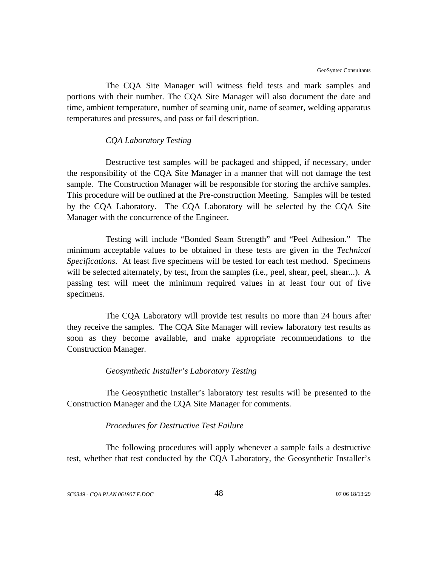The CQA Site Manager will witness field tests and mark samples and portions with their number. The CQA Site Manager will also document the date and time, ambient temperature, number of seaming unit, name of seamer, welding apparatus temperatures and pressures, and pass or fail description.

#### *CQA Laboratory Testing*

Destructive test samples will be packaged and shipped, if necessary, under the responsibility of the CQA Site Manager in a manner that will not damage the test sample. The Construction Manager will be responsible for storing the archive samples. This procedure will be outlined at the Pre-construction Meeting. Samples will be tested by the CQA Laboratory. The CQA Laboratory will be selected by the CQA Site Manager with the concurrence of the Engineer.

Testing will include "Bonded Seam Strength" and "Peel Adhesion." The minimum acceptable values to be obtained in these tests are given in the *Technical Specifications*. At least five specimens will be tested for each test method. Specimens will be selected alternately, by test, from the samples (i.e., peel, shear, peel, shear...). A passing test will meet the minimum required values in at least four out of five specimens.

The CQA Laboratory will provide test results no more than 24 hours after they receive the samples. The CQA Site Manager will review laboratory test results as soon as they become available, and make appropriate recommendations to the Construction Manager.

### *Geosynthetic Installer's Laboratory Testing*

The Geosynthetic Installer's laboratory test results will be presented to the Construction Manager and the CQA Site Manager for comments.

### *Procedures for Destructive Test Failure*

The following procedures will apply whenever a sample fails a destructive test, whether that test conducted by the CQA Laboratory, the Geosynthetic Installer's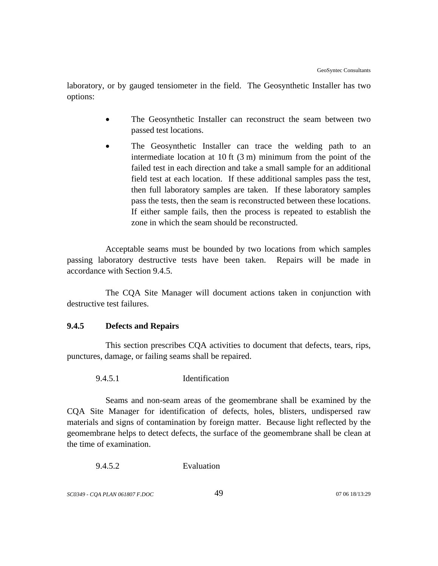laboratory, or by gauged tensiometer in the field. The Geosynthetic Installer has two options:

- The Geosynthetic Installer can reconstruct the seam between two passed test locations.
- The Geosynthetic Installer can trace the welding path to an intermediate location at 10 ft (3 m) minimum from the point of the failed test in each direction and take a small sample for an additional field test at each location. If these additional samples pass the test, then full laboratory samples are taken. If these laboratory samples pass the tests, then the seam is reconstructed between these locations. If either sample fails, then the process is repeated to establish the zone in which the seam should be reconstructed.

Acceptable seams must be bounded by two locations from which samples passing laboratory destructive tests have been taken. Repairs will be made in accordance with Section 9.4.5.

The CQA Site Manager will document actions taken in conjunction with destructive test failures.

## **9.4.5 Defects and Repairs**

This section prescribes CQA activities to document that defects, tears, rips, punctures, damage, or failing seams shall be repaired.

9.4.5.1 Identification

Seams and non-seam areas of the geomembrane shall be examined by the CQA Site Manager for identification of defects, holes, blisters, undispersed raw materials and signs of contamination by foreign matter. Because light reflected by the geomembrane helps to detect defects, the surface of the geomembrane shall be clean at the time of examination.

9.4.5.2 Evaluation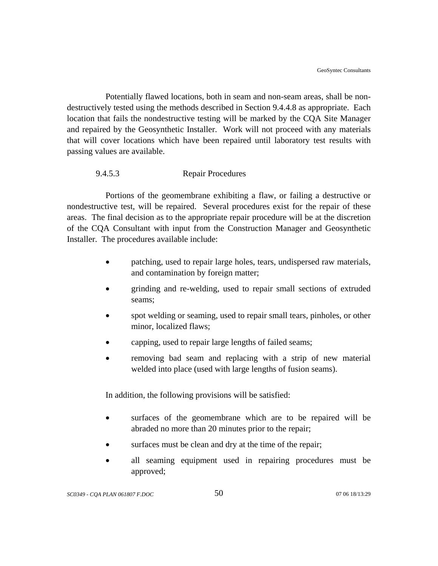Potentially flawed locations, both in seam and non-seam areas, shall be nondestructively tested using the methods described in Section 9.4.4.8 as appropriate. Each location that fails the nondestructive testing will be marked by the CQA Site Manager and repaired by the Geosynthetic Installer. Work will not proceed with any materials that will cover locations which have been repaired until laboratory test results with passing values are available.

## 9.4.5.3 Repair Procedures

Portions of the geomembrane exhibiting a flaw, or failing a destructive or nondestructive test, will be repaired. Several procedures exist for the repair of these areas. The final decision as to the appropriate repair procedure will be at the discretion of the CQA Consultant with input from the Construction Manager and Geosynthetic Installer. The procedures available include:

- patching, used to repair large holes, tears, undispersed raw materials, and contamination by foreign matter;
- grinding and re-welding, used to repair small sections of extruded seams;
- spot welding or seaming, used to repair small tears, pinholes, or other minor, localized flaws;
- capping, used to repair large lengths of failed seams;
- removing bad seam and replacing with a strip of new material welded into place (used with large lengths of fusion seams).

In addition, the following provisions will be satisfied:

- surfaces of the geomembrane which are to be repaired will be abraded no more than 20 minutes prior to the repair;
- surfaces must be clean and dry at the time of the repair;
- all seaming equipment used in repairing procedures must be approved;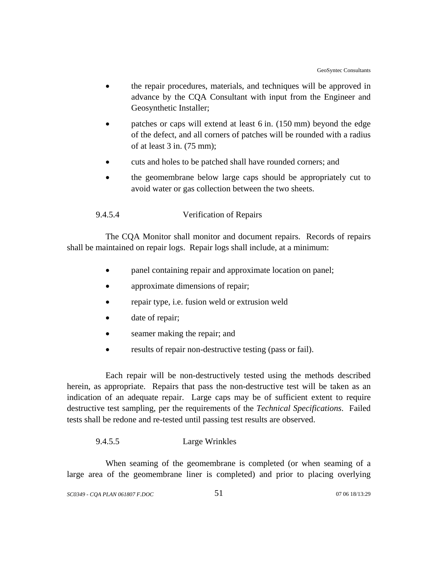- the repair procedures, materials, and techniques will be approved in advance by the CQA Consultant with input from the Engineer and Geosynthetic Installer;
- patches or caps will extend at least 6 in. (150 mm) beyond the edge of the defect, and all corners of patches will be rounded with a radius of at least 3 in. (75 mm);
- cuts and holes to be patched shall have rounded corners; and
- the geomembrane below large caps should be appropriately cut to avoid water or gas collection between the two sheets.

## 9.4.5.4 Verification of Repairs

The CQA Monitor shall monitor and document repairs. Records of repairs shall be maintained on repair logs. Repair logs shall include, at a minimum:

- panel containing repair and approximate location on panel;
- approximate dimensions of repair;
- repair type, i.e. fusion weld or extrusion weld
- date of repair;
- seamer making the repair; and
- results of repair non-destructive testing (pass or fail).

Each repair will be non-destructively tested using the methods described herein, as appropriate. Repairs that pass the non-destructive test will be taken as an indication of an adequate repair. Large caps may be of sufficient extent to require destructive test sampling, per the requirements of the *Technical Specifications*. Failed tests shall be redone and re-tested until passing test results are observed.

### 9.4.5.5 Large Wrinkles

When seaming of the geomembrane is completed (or when seaming of a large area of the geomembrane liner is completed) and prior to placing overlying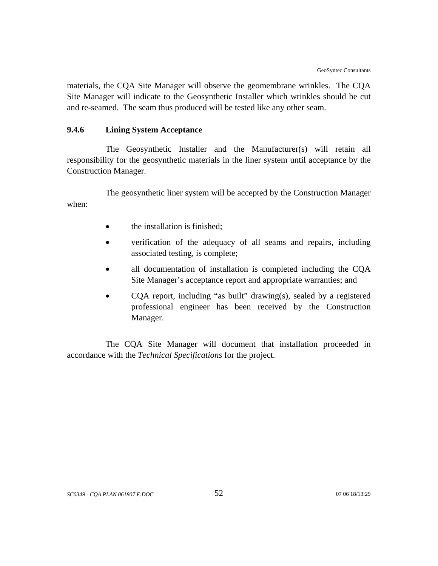materials, the CQA Site Manager will observe the geomembrane wrinkles. The CQA Site Manager will indicate to the Geosynthetic Installer which wrinkles should be cut and re-seamed. The seam thus produced will be tested like any other seam.

## **9.4.6 Lining System Acceptance**

The Geosynthetic Installer and the Manufacturer(s) will retain all responsibility for the geosynthetic materials in the liner system until acceptance by the Construction Manager.

The geosynthetic liner system will be accepted by the Construction Manager when:

- the installation is finished;
- verification of the adequacy of all seams and repairs, including associated testing, is complete;
- all documentation of installation is completed including the CQA Site Manager's acceptance report and appropriate warranties; and
- COA report, including "as built" drawing(s), sealed by a registered professional engineer has been received by the Construction Manager.

The CQA Site Manager will document that installation proceeded in accordance with the *Technical Specifications* for the project.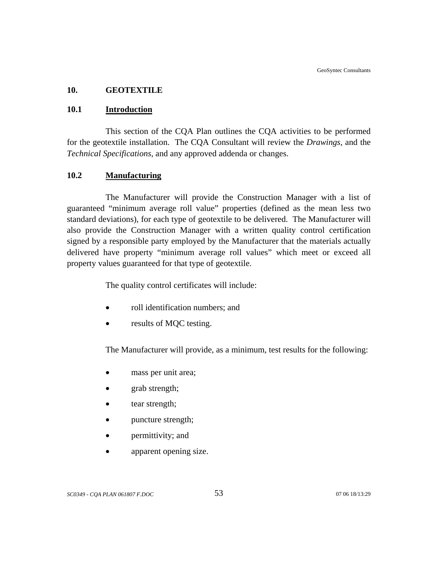### **10. GEOTEXTILE**

### **10.1 Introduction**

This section of the CQA Plan outlines the CQA activities to be performed for the geotextile installation. The CQA Consultant will review the *Drawings*, and the *Technical Specifications*, and any approved addenda or changes.

### **10.2 Manufacturing**

The Manufacturer will provide the Construction Manager with a list of guaranteed "minimum average roll value" properties (defined as the mean less two standard deviations), for each type of geotextile to be delivered. The Manufacturer will also provide the Construction Manager with a written quality control certification signed by a responsible party employed by the Manufacturer that the materials actually delivered have property "minimum average roll values" which meet or exceed all property values guaranteed for that type of geotextile.

The quality control certificates will include:

- roll identification numbers; and
- results of MQC testing.

The Manufacturer will provide, as a minimum, test results for the following:

- mass per unit area;
- grab strength;
- tear strength;
- puncture strength;
- permittivity; and
- apparent opening size.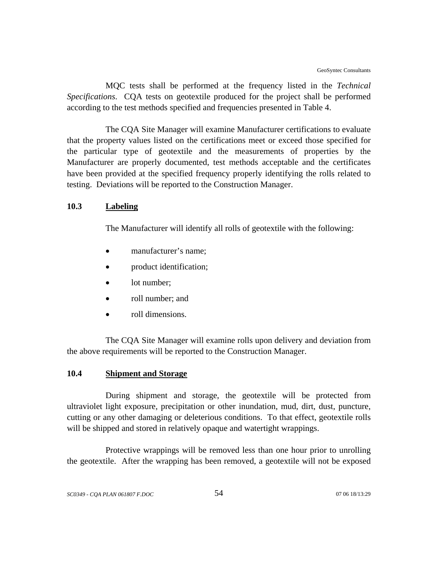MQC tests shall be performed at the frequency listed in the *Technical Specifications*. CQA tests on geotextile produced for the project shall be performed according to the test methods specified and frequencies presented in Table 4.

The CQA Site Manager will examine Manufacturer certifications to evaluate that the property values listed on the certifications meet or exceed those specified for the particular type of geotextile and the measurements of properties by the Manufacturer are properly documented, test methods acceptable and the certificates have been provided at the specified frequency properly identifying the rolls related to testing. Deviations will be reported to the Construction Manager.

### **10.3 Labeling**

The Manufacturer will identify all rolls of geotextile with the following:

- manufacturer's name;
- product identification;
- lot number;
- roll number; and
- roll dimensions.

The CQA Site Manager will examine rolls upon delivery and deviation from the above requirements will be reported to the Construction Manager.

## **10.4 Shipment and Storage**

During shipment and storage, the geotextile will be protected from ultraviolet light exposure, precipitation or other inundation, mud, dirt, dust, puncture, cutting or any other damaging or deleterious conditions. To that effect, geotextile rolls will be shipped and stored in relatively opaque and watertight wrappings.

Protective wrappings will be removed less than one hour prior to unrolling the geotextile. After the wrapping has been removed, a geotextile will not be exposed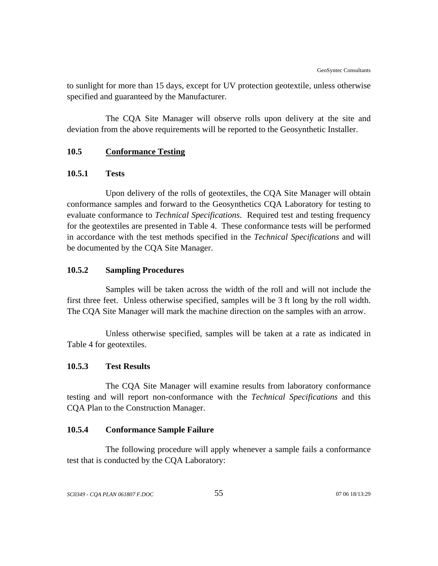to sunlight for more than 15 days, except for UV protection geotextile, unless otherwise specified and guaranteed by the Manufacturer.

The CQA Site Manager will observe rolls upon delivery at the site and deviation from the above requirements will be reported to the Geosynthetic Installer.

## **10.5 Conformance Testing**

### **10.5.1 Tests**

Upon delivery of the rolls of geotextiles, the CQA Site Manager will obtain conformance samples and forward to the Geosynthetics CQA Laboratory for testing to evaluate conformance to *Technical Specifications*. Required test and testing frequency for the geotextiles are presented in Table 4. These conformance tests will be performed in accordance with the test methods specified in the *Technical Specifications* and will be documented by the CQA Site Manager.

#### **10.5.2 Sampling Procedures**

Samples will be taken across the width of the roll and will not include the first three feet. Unless otherwise specified, samples will be 3 ft long by the roll width. The CQA Site Manager will mark the machine direction on the samples with an arrow.

Unless otherwise specified, samples will be taken at a rate as indicated in Table 4 for geotextiles.

## **10.5.3 Test Results**

The CQA Site Manager will examine results from laboratory conformance testing and will report non-conformance with the *Technical Specifications* and this CQA Plan to the Construction Manager.

## **10.5.4 Conformance Sample Failure**

The following procedure will apply whenever a sample fails a conformance test that is conducted by the CQA Laboratory: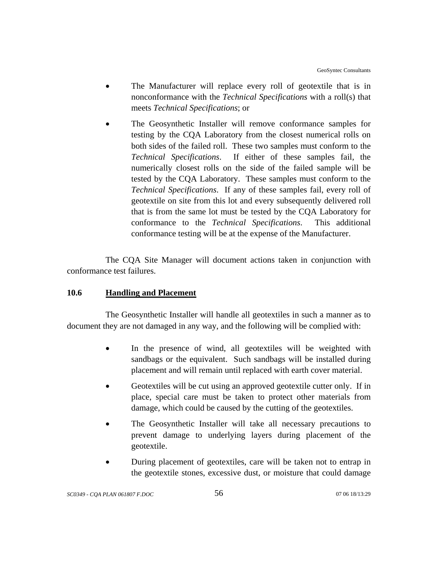- The Manufacturer will replace every roll of geotextile that is in nonconformance with the *Technical Specifications* with a roll(s) that meets *Technical Specifications*; or
- The Geosynthetic Installer will remove conformance samples for testing by the CQA Laboratory from the closest numerical rolls on both sides of the failed roll. These two samples must conform to the *Technical Specifications*. If either of these samples fail, the numerically closest rolls on the side of the failed sample will be tested by the CQA Laboratory. These samples must conform to the *Technical Specifications*. If any of these samples fail, every roll of geotextile on site from this lot and every subsequently delivered roll that is from the same lot must be tested by the CQA Laboratory for conformance to the *Technical Specifications*. This additional conformance testing will be at the expense of the Manufacturer.

The CQA Site Manager will document actions taken in conjunction with conformance test failures.

## **10.6 Handling and Placement**

The Geosynthetic Installer will handle all geotextiles in such a manner as to document they are not damaged in any way, and the following will be complied with:

- In the presence of wind, all geotextiles will be weighted with sandbags or the equivalent. Such sandbags will be installed during placement and will remain until replaced with earth cover material.
- Geotextiles will be cut using an approved geotextile cutter only. If in place, special care must be taken to protect other materials from damage, which could be caused by the cutting of the geotextiles.
- The Geosynthetic Installer will take all necessary precautions to prevent damage to underlying layers during placement of the geotextile.
- During placement of geotextiles, care will be taken not to entrap in the geotextile stones, excessive dust, or moisture that could damage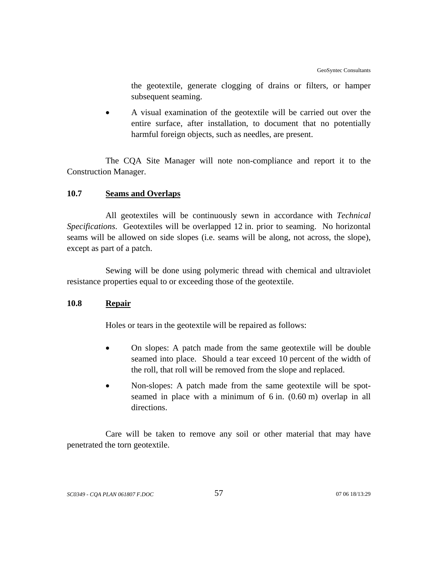the geotextile, generate clogging of drains or filters, or hamper subsequent seaming.

• A visual examination of the geotextile will be carried out over the entire surface, after installation, to document that no potentially harmful foreign objects, such as needles, are present.

The CQA Site Manager will note non-compliance and report it to the Construction Manager.

## **10.7 Seams and Overlaps**

All geotextiles will be continuously sewn in accordance with *Technical Specifications*. Geotextiles will be overlapped 12 in. prior to seaming. No horizontal seams will be allowed on side slopes (i.e. seams will be along, not across, the slope), except as part of a patch.

Sewing will be done using polymeric thread with chemical and ultraviolet resistance properties equal to or exceeding those of the geotextile.

# **10.8 Repair**

Holes or tears in the geotextile will be repaired as follows:

- On slopes: A patch made from the same geotextile will be double seamed into place. Should a tear exceed 10 percent of the width of the roll, that roll will be removed from the slope and replaced.
- Non-slopes: A patch made from the same geotextile will be spotseamed in place with a minimum of 6 in. (0.60 m) overlap in all directions.

Care will be taken to remove any soil or other material that may have penetrated the torn geotextile.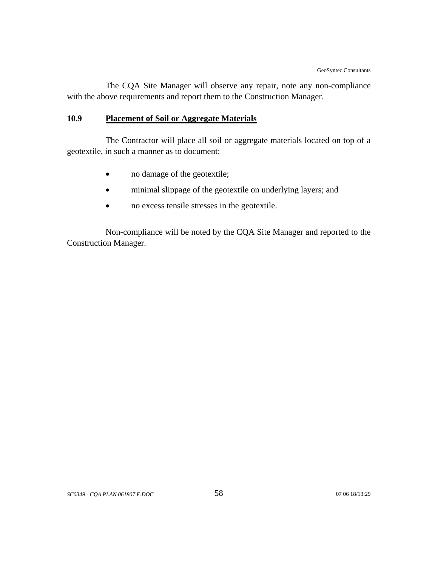The CQA Site Manager will observe any repair, note any non-compliance with the above requirements and report them to the Construction Manager.

# **10.9 Placement of Soil or Aggregate Materials**

The Contractor will place all soil or aggregate materials located on top of a geotextile, in such a manner as to document:

- no damage of the geotextile;
- minimal slippage of the geotextile on underlying layers; and
- no excess tensile stresses in the geotextile.

Non-compliance will be noted by the CQA Site Manager and reported to the Construction Manager.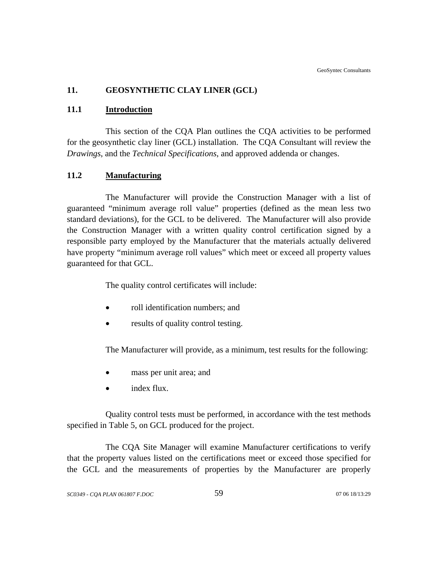## **11. GEOSYNTHETIC CLAY LINER (GCL)**

### **11.1 Introduction**

This section of the CQA Plan outlines the CQA activities to be performed for the geosynthetic clay liner (GCL) installation. The CQA Consultant will review the *Drawings*, and the *Technical Specifications*, and approved addenda or changes.

### **11.2 Manufacturing**

The Manufacturer will provide the Construction Manager with a list of guaranteed "minimum average roll value" properties (defined as the mean less two standard deviations), for the GCL to be delivered. The Manufacturer will also provide the Construction Manager with a written quality control certification signed by a responsible party employed by the Manufacturer that the materials actually delivered have property "minimum average roll values" which meet or exceed all property values guaranteed for that GCL.

The quality control certificates will include:

- roll identification numbers; and
- results of quality control testing.

The Manufacturer will provide, as a minimum, test results for the following:

- mass per unit area; and
- index flux.

Quality control tests must be performed, in accordance with the test methods specified in Table 5, on GCL produced for the project.

The CQA Site Manager will examine Manufacturer certifications to verify that the property values listed on the certifications meet or exceed those specified for the GCL and the measurements of properties by the Manufacturer are properly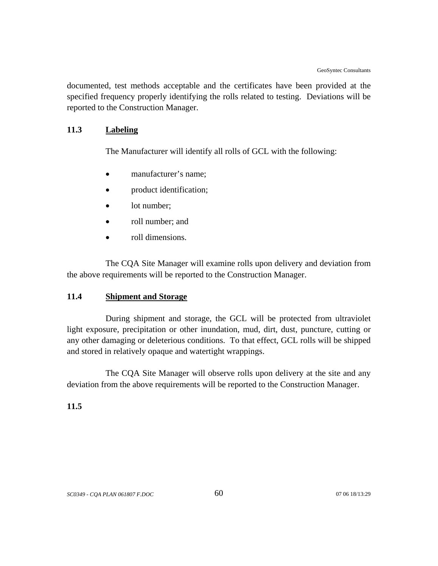documented, test methods acceptable and the certificates have been provided at the specified frequency properly identifying the rolls related to testing. Deviations will be reported to the Construction Manager.

## **11.3 Labeling**

The Manufacturer will identify all rolls of GCL with the following:

- manufacturer's name:
- product identification;
- lot number:
- roll number; and
- roll dimensions.

The CQA Site Manager will examine rolls upon delivery and deviation from the above requirements will be reported to the Construction Manager.

### **11.4 Shipment and Storage**

During shipment and storage, the GCL will be protected from ultraviolet light exposure, precipitation or other inundation, mud, dirt, dust, puncture, cutting or any other damaging or deleterious conditions. To that effect, GCL rolls will be shipped and stored in relatively opaque and watertight wrappings.

The CQA Site Manager will observe rolls upon delivery at the site and any deviation from the above requirements will be reported to the Construction Manager.

## **11.5**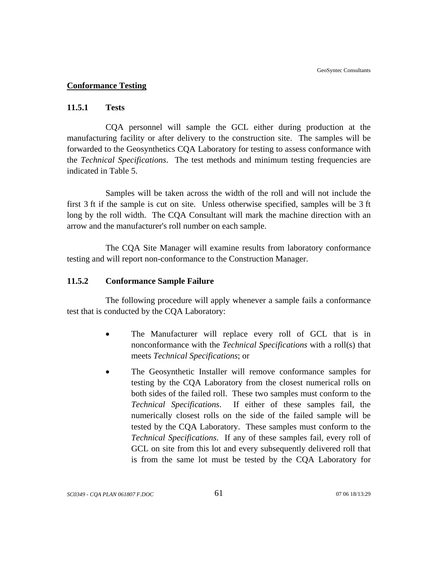### **Conformance Testing**

### **11.5.1 Tests**

CQA personnel will sample the GCL either during production at the manufacturing facility or after delivery to the construction site. The samples will be forwarded to the Geosynthetics CQA Laboratory for testing to assess conformance with the *Technical Specifications*. The test methods and minimum testing frequencies are indicated in Table 5.

Samples will be taken across the width of the roll and will not include the first 3 ft if the sample is cut on site. Unless otherwise specified, samples will be 3 ft long by the roll width. The CQA Consultant will mark the machine direction with an arrow and the manufacturer's roll number on each sample.

The CQA Site Manager will examine results from laboratory conformance testing and will report non-conformance to the Construction Manager.

### **11.5.2 Conformance Sample Failure**

The following procedure will apply whenever a sample fails a conformance test that is conducted by the CQA Laboratory:

- The Manufacturer will replace every roll of GCL that is in nonconformance with the *Technical Specifications* with a roll(s) that meets *Technical Specifications*; or
- The Geosynthetic Installer will remove conformance samples for testing by the CQA Laboratory from the closest numerical rolls on both sides of the failed roll. These two samples must conform to the *Technical Specifications*. If either of these samples fail, the numerically closest rolls on the side of the failed sample will be tested by the CQA Laboratory. These samples must conform to the *Technical Specifications*. If any of these samples fail, every roll of GCL on site from this lot and every subsequently delivered roll that is from the same lot must be tested by the CQA Laboratory for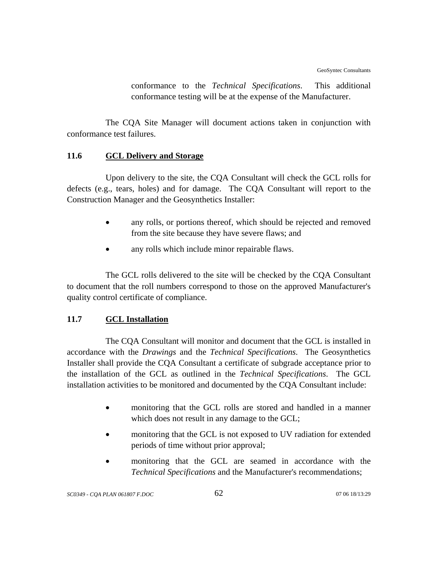conformance to the *Technical Specifications*. This additional conformance testing will be at the expense of the Manufacturer.

The CQA Site Manager will document actions taken in conjunction with conformance test failures.

# **11.6 GCL Delivery and Storage**

Upon delivery to the site, the CQA Consultant will check the GCL rolls for defects (e.g., tears, holes) and for damage. The CQA Consultant will report to the Construction Manager and the Geosynthetics Installer:

- any rolls, or portions thereof, which should be rejected and removed from the site because they have severe flaws; and
- any rolls which include minor repairable flaws.

The GCL rolls delivered to the site will be checked by the CQA Consultant to document that the roll numbers correspond to those on the approved Manufacturer's quality control certificate of compliance.

# **11.7 GCL Installation**

The CQA Consultant will monitor and document that the GCL is installed in accordance with the *Drawings* and the *Technical Specifications*. The Geosynthetics Installer shall provide the CQA Consultant a certificate of subgrade acceptance prior to the installation of the GCL as outlined in the *Technical Specifications*. The GCL installation activities to be monitored and documented by the CQA Consultant include:

- monitoring that the GCL rolls are stored and handled in a manner which does not result in any damage to the GCL;
- monitoring that the GCL is not exposed to UV radiation for extended periods of time without prior approval;
- monitoring that the GCL are seamed in accordance with the *Technical Specifications* and the Manufacturer's recommendations;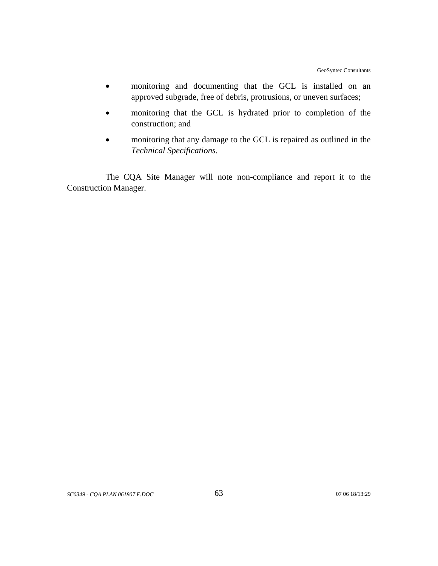- monitoring and documenting that the GCL is installed on an approved subgrade, free of debris, protrusions, or uneven surfaces;
- monitoring that the GCL is hydrated prior to completion of the construction; and
- monitoring that any damage to the GCL is repaired as outlined in the *Technical Specifications*.

The CQA Site Manager will note non-compliance and report it to the Construction Manager.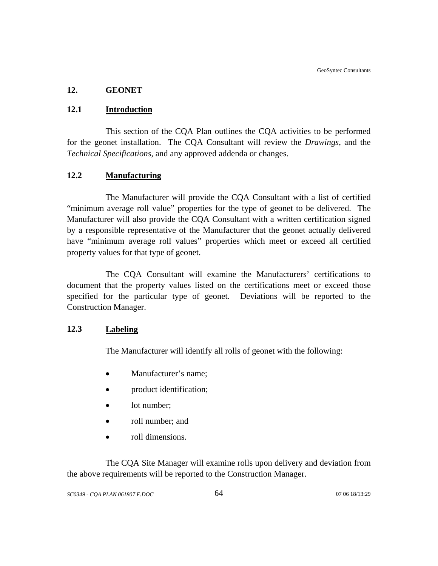## **12. GEONET**

## **12.1 Introduction**

This section of the CQA Plan outlines the CQA activities to be performed for the geonet installation. The CQA Consultant will review the *Drawings*, and the *Technical Specifications*, and any approved addenda or changes.

## **12.2 Manufacturing**

The Manufacturer will provide the CQA Consultant with a list of certified "minimum average roll value" properties for the type of geonet to be delivered. The Manufacturer will also provide the CQA Consultant with a written certification signed by a responsible representative of the Manufacturer that the geonet actually delivered have "minimum average roll values" properties which meet or exceed all certified property values for that type of geonet.

The CQA Consultant will examine the Manufacturers' certifications to document that the property values listed on the certifications meet or exceed those specified for the particular type of geonet. Deviations will be reported to the Construction Manager.

### **12.3 Labeling**

The Manufacturer will identify all rolls of geonet with the following:

- Manufacturer's name;
- product identification;
- lot number;
- roll number; and
- roll dimensions.

The CQA Site Manager will examine rolls upon delivery and deviation from the above requirements will be reported to the Construction Manager.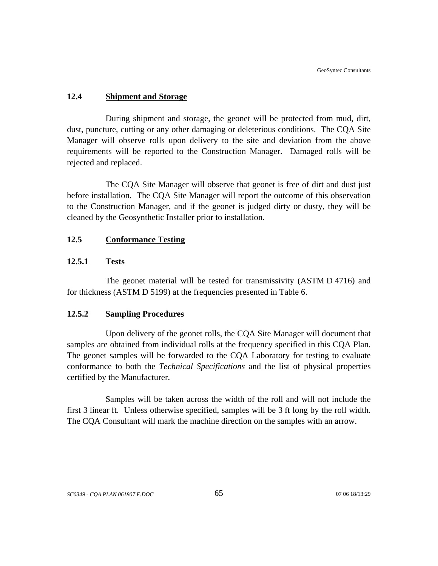## **12.4 Shipment and Storage**

During shipment and storage, the geonet will be protected from mud, dirt, dust, puncture, cutting or any other damaging or deleterious conditions. The CQA Site Manager will observe rolls upon delivery to the site and deviation from the above requirements will be reported to the Construction Manager. Damaged rolls will be rejected and replaced.

The CQA Site Manager will observe that geonet is free of dirt and dust just before installation. The CQA Site Manager will report the outcome of this observation to the Construction Manager, and if the geonet is judged dirty or dusty, they will be cleaned by the Geosynthetic Installer prior to installation.

## **12.5 Conformance Testing**

## **12.5.1 Tests**

The geonet material will be tested for transmissivity (ASTM D 4716) and for thickness (ASTM D 5199) at the frequencies presented in Table 6.

#### **12.5.2 Sampling Procedures**

Upon delivery of the geonet rolls, the CQA Site Manager will document that samples are obtained from individual rolls at the frequency specified in this CQA Plan. The geonet samples will be forwarded to the CQA Laboratory for testing to evaluate conformance to both the *Technical Specifications* and the list of physical properties certified by the Manufacturer.

Samples will be taken across the width of the roll and will not include the first 3 linear ft. Unless otherwise specified, samples will be 3 ft long by the roll width. The CQA Consultant will mark the machine direction on the samples with an arrow.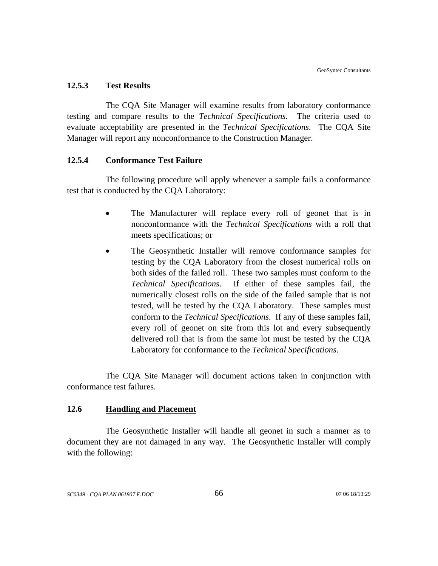#### **12.5.3 Test Results**

The CQA Site Manager will examine results from laboratory conformance testing and compare results to the *Technical Specifications*. The criteria used to evaluate acceptability are presented in the *Technical Specifications*. The CQA Site Manager will report any nonconformance to the Construction Manager.

#### **12.5.4 Conformance Test Failure**

The following procedure will apply whenever a sample fails a conformance test that is conducted by the CQA Laboratory:

- The Manufacturer will replace every roll of geonet that is in nonconformance with the *Technical Specifications* with a roll that meets specifications; or
- The Geosynthetic Installer will remove conformance samples for testing by the CQA Laboratory from the closest numerical rolls on both sides of the failed roll. These two samples must conform to the *Technical Specifications*. If either of these samples fail, the numerically closest rolls on the side of the failed sample that is not tested, will be tested by the CQA Laboratory. These samples must conform to the *Technical Specifications*. If any of these samples fail, every roll of geonet on site from this lot and every subsequently delivered roll that is from the same lot must be tested by the CQA Laboratory for conformance to the *Technical Specifications*.

The CQA Site Manager will document actions taken in conjunction with conformance test failures.

## **12.6 Handling and Placement**

The Geosynthetic Installer will handle all geonet in such a manner as to document they are not damaged in any way. The Geosynthetic Installer will comply with the following: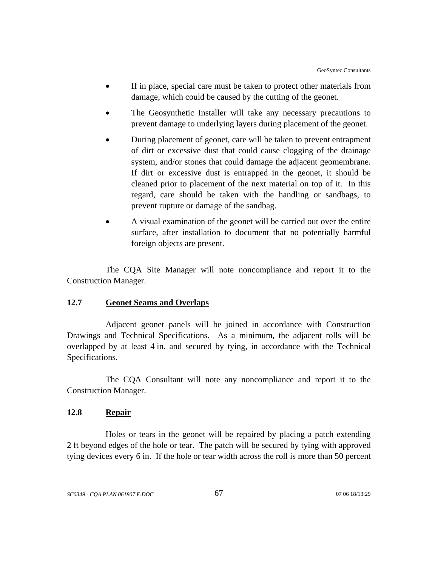- If in place, special care must be taken to protect other materials from damage, which could be caused by the cutting of the geonet.
- The Geosynthetic Installer will take any necessary precautions to prevent damage to underlying layers during placement of the geonet.
- During placement of geonet, care will be taken to prevent entrapment of dirt or excessive dust that could cause clogging of the drainage system, and/or stones that could damage the adjacent geomembrane. If dirt or excessive dust is entrapped in the geonet, it should be cleaned prior to placement of the next material on top of it. In this regard, care should be taken with the handling or sandbags, to prevent rupture or damage of the sandbag.
- A visual examination of the geonet will be carried out over the entire surface, after installation to document that no potentially harmful foreign objects are present.

The CQA Site Manager will note noncompliance and report it to the Construction Manager.

## **12.7 Geonet Seams and Overlaps**

Adjacent geonet panels will be joined in accordance with Construction Drawings and Technical Specifications. As a minimum, the adjacent rolls will be overlapped by at least 4 in. and secured by tying, in accordance with the Technical Specifications.

The CQA Consultant will note any noncompliance and report it to the Construction Manager.

## **12.8 Repair**

Holes or tears in the geonet will be repaired by placing a patch extending 2 ft beyond edges of the hole or tear. The patch will be secured by tying with approved tying devices every 6 in. If the hole or tear width across the roll is more than 50 percent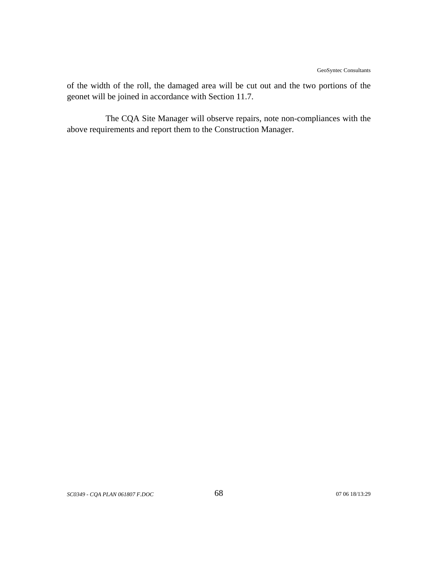of the width of the roll, the damaged area will be cut out and the two portions of the geonet will be joined in accordance with Section 11.7.

The CQA Site Manager will observe repairs, note non-compliances with the above requirements and report them to the Construction Manager.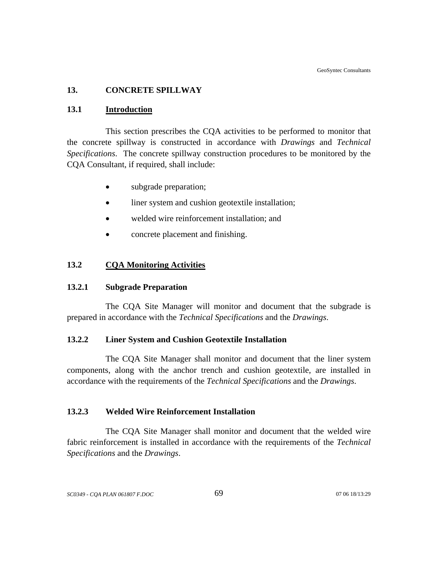## **13. CONCRETE SPILLWAY**

#### **13.1 Introduction**

This section prescribes the CQA activities to be performed to monitor that the concrete spillway is constructed in accordance with *Drawings* and *Technical Specifications*. The concrete spillway construction procedures to be monitored by the CQA Consultant, if required, shall include:

- subgrade preparation;
- liner system and cushion geotextile installation;
- welded wire reinforcement installation; and
- concrete placement and finishing.

#### **13.2 CQA Monitoring Activities**

### **13.2.1 Subgrade Preparation**

The CQA Site Manager will monitor and document that the subgrade is prepared in accordance with the *Technical Specifications* and the *Drawings*.

## **13.2.2 Liner System and Cushion Geotextile Installation**

 The CQA Site Manager shall monitor and document that the liner system components, along with the anchor trench and cushion geotextile, are installed in accordance with the requirements of the *Technical Specifications* and the *Drawings*.

## **13.2.3 Welded Wire Reinforcement Installation**

The CQA Site Manager shall monitor and document that the welded wire fabric reinforcement is installed in accordance with the requirements of the *Technical Specifications* and the *Drawings*.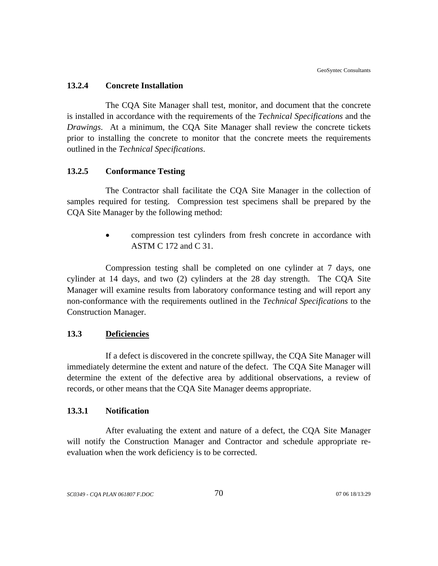#### **13.2.4 Concrete Installation**

The CQA Site Manager shall test, monitor, and document that the concrete is installed in accordance with the requirements of the *Technical Specifications* and the *Drawings*. At a minimum, the CQA Site Manager shall review the concrete tickets prior to installing the concrete to monitor that the concrete meets the requirements outlined in the *Technical Specifications*.

#### **13.2.5 Conformance Testing**

The Contractor shall facilitate the CQA Site Manager in the collection of samples required for testing. Compression test specimens shall be prepared by the CQA Site Manager by the following method:

> • compression test cylinders from fresh concrete in accordance with ASTM C 172 and C 31.

Compression testing shall be completed on one cylinder at 7 days, one cylinder at 14 days, and two (2) cylinders at the 28 day strength. The CQA Site Manager will examine results from laboratory conformance testing and will report any non-conformance with the requirements outlined in the *Technical Specifications* to the Construction Manager.

## **13.3 Deficiencies**

If a defect is discovered in the concrete spillway, the CQA Site Manager will immediately determine the extent and nature of the defect. The CQA Site Manager will determine the extent of the defective area by additional observations, a review of records, or other means that the CQA Site Manager deems appropriate.

## **13.3.1 Notification**

After evaluating the extent and nature of a defect, the CQA Site Manager will notify the Construction Manager and Contractor and schedule appropriate reevaluation when the work deficiency is to be corrected.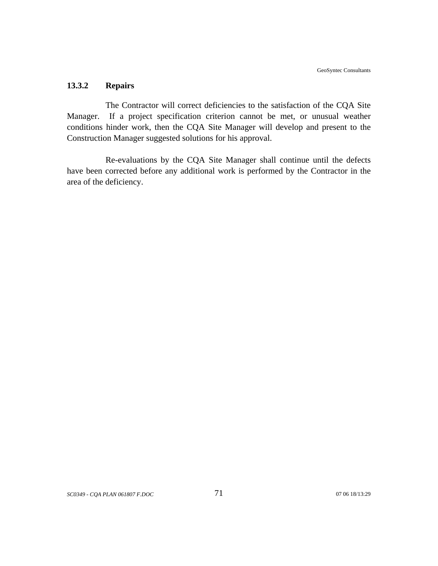# **13.3.2 Repairs**

The Contractor will correct deficiencies to the satisfaction of the CQA Site Manager. If a project specification criterion cannot be met, or unusual weather conditions hinder work, then the CQA Site Manager will develop and present to the Construction Manager suggested solutions for his approval.

Re-evaluations by the CQA Site Manager shall continue until the defects have been corrected before any additional work is performed by the Contractor in the area of the deficiency.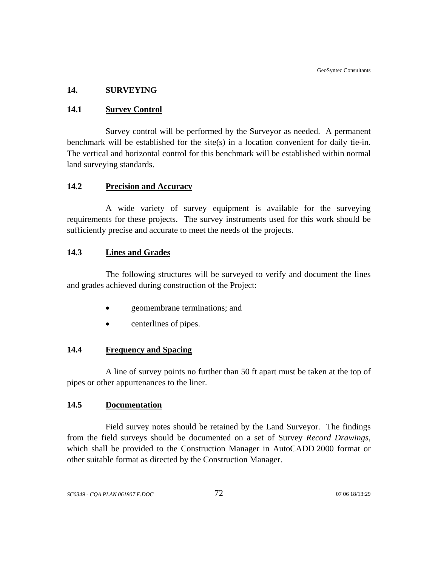## **14. SURVEYING**

## **14.1 Survey Control**

Survey control will be performed by the Surveyor as needed. A permanent benchmark will be established for the site(s) in a location convenient for daily tie-in. The vertical and horizontal control for this benchmark will be established within normal land surveying standards.

## **14.2 Precision and Accuracy**

A wide variety of survey equipment is available for the surveying requirements for these projects. The survey instruments used for this work should be sufficiently precise and accurate to meet the needs of the projects.

## **14.3 Lines and Grades**

The following structures will be surveyed to verify and document the lines and grades achieved during construction of the Project:

- geomembrane terminations; and
- centerlines of pipes.

## **14.4 Frequency and Spacing**

A line of survey points no further than 50 ft apart must be taken at the top of pipes or other appurtenances to the liner.

## **14.5 Documentation**

Field survey notes should be retained by the Land Surveyor. The findings from the field surveys should be documented on a set of Survey *Record Drawings*, which shall be provided to the Construction Manager in AutoCADD 2000 format or other suitable format as directed by the Construction Manager.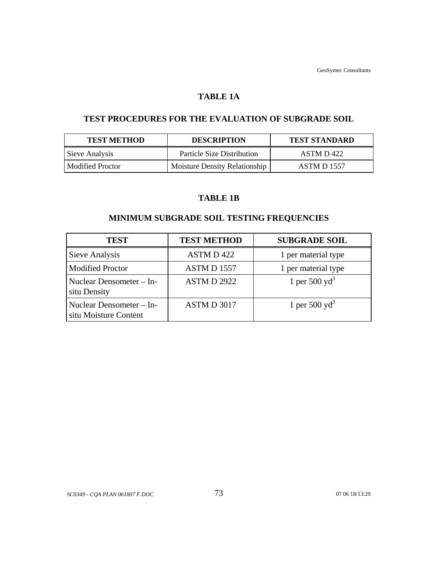### **TABLE 1A**

## **TEST PROCEDURES FOR THE EVALUATION OF SUBGRADE SOIL**

| <b>TEST METHOD</b> | <b>DESCRIPTION</b>                | <b>TEST STANDARD</b> |
|--------------------|-----------------------------------|----------------------|
| Sieve Analysis     | <b>Particle Size Distribution</b> | ASTM D 422           |
| Modified Proctor   | Moisture Density Relationship     | <b>ASTM D 1557</b>   |

# **TABLE 1B**

# **MINIMUM SUBGRADE SOIL TESTING FREQUENCIES**

| <b>TEST</b>                                       | <b>TEST METHOD</b> | <b>SUBGRADE SOIL</b> |
|---------------------------------------------------|--------------------|----------------------|
| Sieve Analysis                                    | ASTM D 422         | 1 per material type  |
| <b>Modified Proctor</b>                           | ASTM D 1557        | 1 per material type  |
| Nuclear Densometer – In-<br>situ Density          | <b>ASTM D 2922</b> | 1 per 500 $yd^3$     |
| Nuclear Densometer – In-<br>situ Moisture Content | ASTM D 3017        | 1 per 500 $yd^3$     |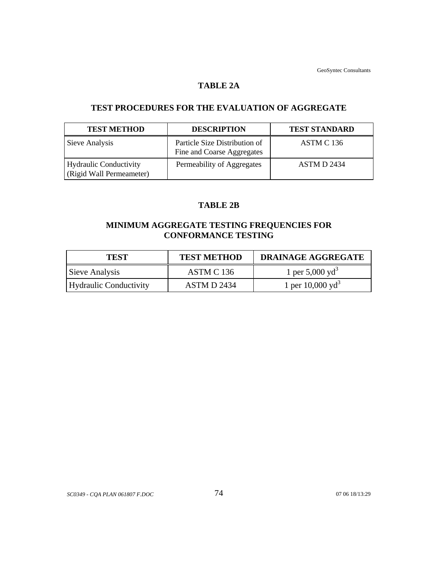#### **TABLE 2A**

# **TEST PROCEDURES FOR THE EVALUATION OF AGGREGATE**

| <b>TEST METHOD</b>                                        | <b>DESCRIPTION</b>                                          | <b>TEST STANDARD</b> |
|-----------------------------------------------------------|-------------------------------------------------------------|----------------------|
| Sieve Analysis                                            | Particle Size Distribution of<br>Fine and Coarse Aggregates | ASTM C 136           |
| <b>Hydraulic Conductivity</b><br>(Rigid Wall Permeameter) | Permeability of Aggregates                                  | ASTM D 2434          |

## **TABLE 2B**

# **MINIMUM AGGREGATE TESTING FREQUENCIES FOR CONFORMANCE TESTING**

| <b>TEST</b>            | <b>TEST METHOD</b> | <b>DRAINAGE AGGREGATE</b>   |
|------------------------|--------------------|-----------------------------|
| Sieve Analysis         | ASTM C 136         | 1 per 5,000 yd <sup>3</sup> |
| Hydraulic Conductivity | ASTM D 2434        | 1 per $10,000 \text{ yd}^3$ |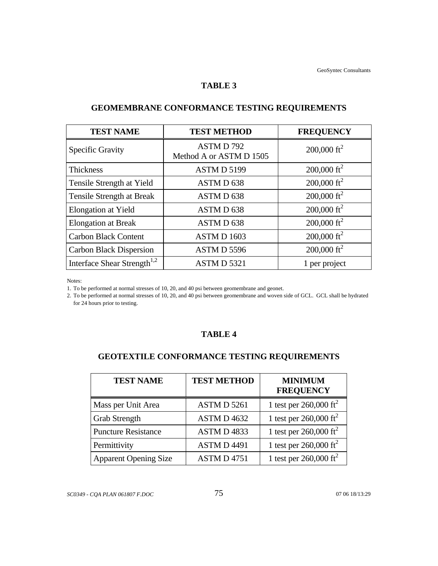#### **TABLE 3**

| <b>TEST NAME</b>                        | <b>TEST METHOD</b>                  | <b>FREQUENCY</b>        |
|-----------------------------------------|-------------------------------------|-------------------------|
| <b>Specific Gravity</b>                 | ASTMD792<br>Method A or ASTM D 1505 | 200,000 ft <sup>2</sup> |
| <b>Thickness</b>                        | ASTMD 5199                          | 200,000 ft <sup>2</sup> |
| Tensile Strength at Yield               | ASTM D 638                          | 200,000 ft <sup>2</sup> |
| Tensile Strength at Break               | ASTMD 638                           | 200,000 ft <sup>2</sup> |
| Elongation at Yield                     | ASTMD 638                           | 200,000 ft <sup>2</sup> |
| <b>Elongation at Break</b>              | ASTMD 638                           | $200,000 \text{ ft}^2$  |
| <b>Carbon Black Content</b>             | ASTMD 1603                          | 200,000 ft <sup>2</sup> |
| <b>Carbon Black Dispersion</b>          | ASTMD 5596                          | 200,000 ft <sup>2</sup> |
| Interface Shear Strength <sup>1,2</sup> | ASTMD 5321                          | 1 per project           |

# **GEOMEMBRANE CONFORMANCE TESTING REQUIREMENTS**

Notes:

1. To be performed at normal stresses of 10, 20, and 40 psi between geomembrane and geonet.

2. To be performed at normal stresses of 10, 20, and 40 psi between geomembrane and woven side of GCL. GCL shall be hydrated for 24 hours prior to testing.

## **TABLE 4**

# **GEOTEXTILE CONFORMANCE TESTING REQUIREMENTS**

| <b>TEST NAME</b>             | <b>TEST METHOD</b> | <b>MINIMUM</b><br><b>FREQUENCY</b> |
|------------------------------|--------------------|------------------------------------|
| Mass per Unit Area           | ASTM D 5261        | 1 test per $260,000 \text{ ft}^2$  |
| <b>Grab Strength</b>         | ASTM D 4632        | 1 test per $260,000 \text{ ft}^2$  |
| <b>Puncture Resistance</b>   | ASTMD4833          | 1 test per $260,000 \text{ ft}^2$  |
| Permittivity                 | <b>ASTMD4491</b>   | 1 test per $260,000 \text{ ft}^2$  |
| <b>Apparent Opening Size</b> | <b>ASTM D 4751</b> | 1 test per $260,000 \text{ ft}^2$  |